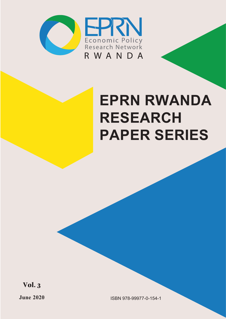

# **EPRN RWANDA RESEARCH PAPER SERIES**

**Vol. 3**

**June 2020 ISBN 978-99977-0-154-1**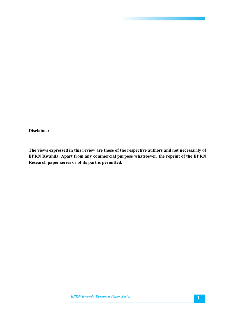#### **Disclaimer**

**The views expressed in this review are those of the respective authors and not necessarily of EPRN Rwanda. Apart from any commercial purpose whatsoever, the reprint of the EPRN Research paper series or of its part is permitted.**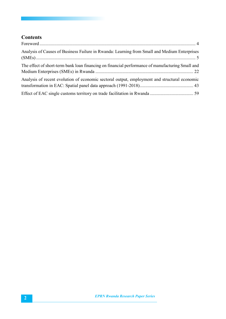## **Contents**

| Analysis of Causes of Business Failure in Rwanda: Learning from Small and Medium Enterprises     |  |
|--------------------------------------------------------------------------------------------------|--|
| The effect of short-term bank loan financing on financial performance of manufacturing Small and |  |
| Analysis of recent evolution of economic sectoral output, employment and structural economic     |  |
|                                                                                                  |  |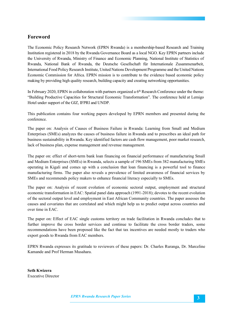### **Foreword**

The Economic Policy Research Network (EPRN Rwanda) is a membership-based Research and Training Institution registered in 2018 by the Rwanda Governance Board as a local NGO. Key EPRN partners include the University of Rwanda, Ministry of Finance and Economic Planning, National Institute of Statistics of Rwanda, National Bank of Rwanda, the Deutsche Gesellschaft für Internationale Zusammenarbeit, International Food Policy Research Institute, United Nations Development Programme and the United Nations Economic Commission for Africa. EPRN mission is to contribute to the evidence based economic policy making by providing high quality research, building capacity and creating networking opportunities.

In February 2020, EPRN in collaboration with partners organized a 6<sup>th</sup> Research Conference under the theme: "Building Productive Capacities for Structural Economic Transformation". The conference held at Lemigo Hotel under support of the GIZ, IFPRI and UNDP.

This publication contains four working papers developed by EPRN members and presented during the conference.

The paper on: Analysis of Causes of Business Failure in Rwanda: Learning from Small and Medium Enterprises (SMEs) analyzes the causes of business failure in Rwanda and to prescribes an ideal path for business sustainability in Rwanda. Key identified factors are cash flow management, poor market research, lack of business plan, expense management and revenue management.

The paper on: effect of short-term bank loan financing on financial performance of manufacturing Small and Medium Enterprises (SMEs) in Rwanda, selects a sample of 196 SMEs from 382 manufacturing SMEs operating in Kigali and comes up with a conclusion that loan financing is a powerful tool to finance manufacturing firms. The paper also reveals a prevalence of limited awareness of financial services by SMEs and recommends policy makers to enhance financial literacy especially to SMEs.

The paper on: Analysis of recent evolution of economic sectoral output, employment and structural economic transformation in EAC: Spatial panel data approach (1991-2018); devotes to the recent evolution of the sectoral output level and employment in East African Community countries. The paper assesses the causes and covariates that are correlated and which might help us to predict output across countries and over time in EAC.

The paper on: Effect of EAC single customs territory on trade facilitation in Rwanda concludes that to further improve the cross border services and continue to facilitate the cross border traders, some recommendations have been proposed like the fact that tax incentives are needed mostly to traders who export goods to Rwanda from EAC members.

EPRN Rwanda expresses its gratitude to reviewers of these papers: Dr. Charles Ruranga, Dr. Marceline Kamande and Prof Herman Musahara.

**Seth Kwizera** Executive Director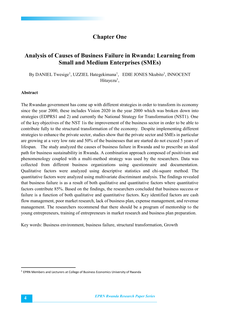## **Chapter One**

## **Analysis of Causes of Business Failure in Rwanda: Learning from Small and Medium Enterprises (SMEs)**

By DANIEL Twesige<sup>1</sup>, UZZIEL Hategekimana<sup>1</sup>, EDIE JONES Nkubito<sup>1</sup>, INNOCENT Hitayezu<sup>1</sup>,

#### **Abstract**

The Rwandan government has come up with different strategies in order to transform its economy since the year 2000, these includes Vision 2020 in the year 2000 which was broken down into strategies (EDPRS1 and 2) and currently the National Strategy for Transformation (NST1). One of the key objectives of the NST 1is the improvement of the business sector in order to be able to contribute fully to the structural transformation of the economy. Despite implementing different strategies to enhance the private sector, studies show that the private sector and SMEs in particular are growing at a very low rate and 50% of the businesses that are started do not exceed 5 years of lifespan. The study analyzed the causes of business failure in Rwanda and to prescribe an ideal path for business sustainability in Rwanda. A combination approach composed of positivism and phenomenology coupled with a multi-method strategy was used by the researchers. Data was collected from different business organizations using questionnaire and documentation. Qualitative factors were analyzed using descriptive statistics and chi-square method. The quantitative factors were analyzed using multivariate discriminant analysis. The findings revealed that business failure is as a result of both qualitative and quantitative factors where quantitative factors contribute 85%. Based on the findings, the researchers concluded that business success or failure is a function of both qualitative and quantitative factors. Key identified factors are cash flow management, poor market research, lack of business plan, expense management, and revenue management. The researchers recommend that there should be a program of mentorship to the young entrepreneurs, training of entrepreneurs in market research and business plan preparation.

Key words: Business environment, business failure, structural transformation, Growth

<sup>&</sup>lt;sup>1</sup> EPRN Members and Lecturers at College of Business Economics University of Rwanda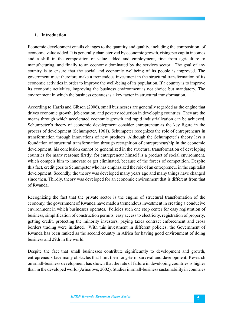#### **1. Introduction**

Economic development entails changes to the quantity and quality, including the composition, of economic value added. It is generally characterized by economic growth, rising per capita incomes and a shift in the composition of value added and employment, first from agriculture to manufacturing, and finally to an economy dominated by the services sector. The goal of any country is to ensure that the social and economic wellbeing of its people is improved. The government must therefore make a tremendous investment in the structural transformation of its economic activities in order to improve the well-being of its population. If a country is to improve its economic activities, improving the business environment is not choice but mandatory. The environment in which the business operates is a key factor in structural transformation.

According to Harris and Gibson (2006), small businesses are generally regarded as the engine that drives economic growth, job creation, and poverty reduction in developing countries. They are the means through which accelerated economic growth and rapid industrialization can be achieved. Schumpeter's theory of economic development consider entrepreneur as the key figure in the process of development (Schumpeter, 1961). Schumpeter recognizes the role of entrepreneurs in transformation through innovations of new products. Although the Schumpeter's theory lays a foundation of structural transformation through recognition of entrepreneurship in the economic development, his conclusion cannot be generalized in the structural transformation of developing countries for many reasons; firstly, for entrepreneur himself is a product of social environment, which compels him to innovate or get eliminated, because of the forces of competition. Despite this fact, credit goes to Schumpeter who has emphasized the role of an entrepreneur in the capitalist development. Secondly, the theory was developed many years ago and many things have changed since then. Thirdly, theory was developed for an economic environment that is different from that of Rwanda.

Recognizing the fact that the private sector is the engine of structural transformation of the economy, the government of Rwanda have made a tremendous investment in creating a conducive environment in which businesses operates. Policies such one stop center for easy registration of business, simplification of construction permits, easy access to electricity, registration of property, getting credit, protecting the minority investors, paying taxes contract enforcement and cross borders trading were initiated. With this investment in different policies, the Government of Rwanda has been ranked as the second country in Africa for having good environment of doing business and 29th in the world.

Despite the fact that small businesses contribute significantly to development and growth, entrepreneurs face many obstacles that limit their long-term survival and development. Research on small-business development has shown that the rate of failure in developing countries is higher than in the developed world (Arinaitwe, 2002). Studies in small-business sustainability in countries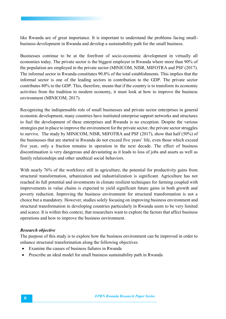like Rwanda are of great importance. It is important to understand the problems facing smallbusiness development in Rwanda and develop a sustainability path for the small business.

Businesses continue to be at the forefront of socio-economic development in virtually all economies today. The private sector is the biggest employer in Rwanda where more than 90% of the population are employed in the private sector (MINICOM, NISR, MIFOTRA and PSF (2017). The informal sector in Rwanda constitutes 90.8% of the total establishments. This implies that the informal sector is one of the leading sectors in contribution to the GDP. The private sector contributes 80% to the GDP. This, therefore, means that if the country is to transform its economic activities from the tradition to modern economy, it must look at how to improve the business environment (MINICOM, 2017).

Recognizing the indispensable role of small businesses and private sector enterprises in general economic development, many countries have instituted enterprise support networks and structures to fuel the development of these enterprises and Rwanda is no exception. Despite the various strategies put in place to improve the environment for the private sector, the private sector struggles to survive. The study by MINICOM, NISR, MIFOTRA and PSF (2017), show that half (50%) of the businesses that are started in Rwanda do not exceed five years' life, even those which exceed five year, only a fraction remains in operation in the next decade. The effect of business discontinuation is very dangerous and devastating as it leads to loss of jobs and assets as well as family relationships and other unethical social behaviors.

With nearly 76% of the workforce still in agriculture, the potential for productivity gains from structural transformation, urbanization and industrialization is significant. Agriculture has not reached its full potential and investments in climate resilient techniques for farming coupled with improvements in value chains is expected to yield significant future gains in both growth and poverty reduction. Improving the business environment for structural transformation is not a choice but a mandatory. However, studies solely focusing on improving business environment and structural transformation in developing countries particularly in Rwanda seem to be very limited and scarce. It is within this context, that researchers want to explore the factors that affect business operations and how to improve the business environment.

#### *Research objective*

The purpose of this study is to explore how the business environment can be improved in order to enhance structural transformation along the following objectives

- Examine the causes of business failures in Rwanda
- Prescribe an ideal model for small business sustainability path in Rwanda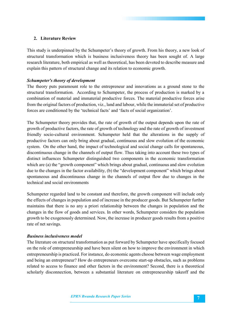#### **2. Literature Review**

This study is underpinned by the Schumpeter's theory of growth. From his theory, a new look of structural transformation which is business inclusiveness theory has been sought of. A large research literature, both empirical as well as theoretical, has been devoted to describe measure and explain this pattern of structural change and its relation to economic growth.

#### *Schumpeter's theory of development*

The theory puts paramount role to the entrepreneur and innovations as a ground stone to the structural transformation. According to Schumpeter, the process of production is marked by a combination of material and immaterial productive forces. The material productive forces arise from the original factors of production, viz., land and labour, while the immaterial set of productive forces are conditioned by the 'technical facts' and 'facts of social organization'.

The Schumpeter theory provides that, the rate of growth of the output depends upon the rate of growth of productive factors, the rate of growth of technology and the rate of growth of investment friendly socio-cultural environment. Schumpeter held that the alterations in the supply of productive factors can only bring about gradual, continuous and slow evolution of the economic system. On the other hand, the impact of technological and social change calls for spontaneous, discontinuous change in the channels of output flow. Thus taking into account these two types of distinct influences Schumpeter distinguished two components in the economic transformation which are (a) the "growth component" which brings about gradual, continuous and slow evolution due to the changes in the factor availability, (b) the "development component" which brings about spontaneous and discontinuous change in the channels of output flow due to changes in the technical and social environments

Schumpeter regarded land to be constant and therefore, the growth component will include only the effects of changes in population and of increase in the producer goods. But Schumpeter further maintains that there is no any a priori relationship between the changes in population and the changes in the flow of goods and services. In other words, Schumpeter considers the population growth to be exogenously determined. Now, the increase in producer goods results from a positive rate of net savings.

#### *Business inclusiveness model*

The literature on structural transformation as put forward by Schumpeter have specifically focused on the role of entrepreneurship and have been silent on how to improve the environment in which entrepreneurship is practiced. For instance, do economic agents choose between wage employment and being an entrepreneur? How do entrepreneurs overcome start-up obstacles, such as problems related to access to finance and other factors in the environment? Second, there is a theoretical scholarly disconnection, between a substantial literature on entrepreneurship takeoff and the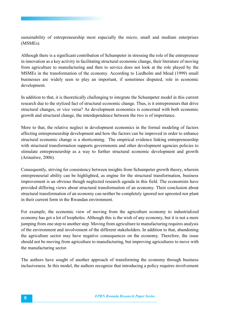sustainability of entrepreneurship most especially the micro, small and medium enterprises (MSMEs).

Although there is a significant contribution of Schumpeter in stressing the role of the entrepreneur in innovation as a key activity in facilitating structural economic change, their literature of moving from agriculture to manufacturing and then to service does not look at the role played by the MSMEs in the transformation of the economy. According to Liedholm and Mead (1999) small businesses are widely seen to play an important, if sometimes disputed, role in economic development.

In addition to that, it is theoretically challenging to integrate the Schumpeter model in this current research due to the stylized fact of structural economic change. Thus, is it entrepreneurs that drive structural changes, or vice versa? As development economics is concerned with both economic growth and structural change, the interdependence between the two is of importance.

More to that, the relative neglect in development economics in the formal modeling of factors affecting entrepreneurship development and how the factors can be improved in order to enhance structural economic change is a shortcoming. The empirical evidence linking entrepreneurship with structural transformation supports governments and other development agencies policies to stimulate entrepreneurship as a way to further structural economic development and growth (Arinaitwe, 2006).

Consequently, striving for consistency between insights from Schumpeter growth theory, wherein entrepreneurial ability can be highlighted, as engine for the structural transformation, business improvement is an obvious though neglected research agenda in this field. The economists have provided differing views about structural transformation of an economy. Their conclusion about structural transformation of an economy can neither be completely ignored nor uprooted nor plant in their current form in the Rwandan environment.

For example, the economic view of moving from the agriculture economy to industrialized economy has got a lot of loopholes. Although this is the wish of any economy, but it is not a mere jumping from one step to another step. Moving from agriculture to manufacturing requires analysis of the environment and involvement of the different stakeholders. In addition to that, abandoning the agriculture sector may have negative consequences on the economy. Therefore, the issue should not be moving from agriculture to manufacturing, but improving agricultures to move with the manufacturing sector.

The authors have sought of another approach of transforming the economy through business inclusiveness. In this model, the authors recognize that introducing a policy requires involvement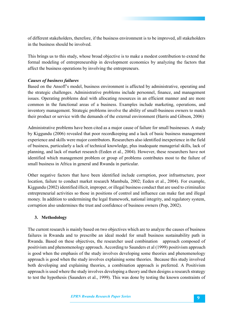of different stakeholders, therefore, if the business environment is to be improved, all stakeholders in the business should be involved.

This brings us to this study, whose broad objective is to make a modest contribution to extend the formal modeling of entrepreneurship in development economics by analyzing the factors that affect the business operations by involving the entrepreneurs.

#### *Causes of business failures*

Based on the Ansoff's model, business environment is affected by administrative, operating and the strategic challenges. Administrative problems include personnel, finance, and management issues. Operating problems deal with allocating resources in an efficient manner and are more common in the functional areas of a business. Examples include marketing, operations, and inventory management. Strategic problems involve the ability of small-business owners to match their product or service with the demands of the external environment (Harris and Gibson, 2006)

Administrative problems have been cited as a major cause of failure for small businesses. A study by Kiggundu (2006) revealed that poor recordkeeping and a lack of basic business management experience and skills were major contributors. Researchers also identified inexperience in the field of business, particularly a lack of technical knowledge, plus inadequate managerial skills, lack of planning, and lack of market research (Eeden et al., 2004). However, these researchers have not identified which management problem or group of problems contributes most to the failure of small business in Africa in general and Rwanda in particular.

Other negative factors that have been identified include corruption, poor infrastructure, poor location, failure to conduct market research Mambula, 2002; Eeden et al., 2004). For example, Kiggundu (2002) identified illicit, improper, or illegal business conduct that are used to criminalize entrepreneurial activities so those in positions of control and influence can make fast and illegal money. In addition to undermining the legal framework, national integrity, and regulatory system, corruption also undermines the trust and confidence of business owners (Pop, 2002).

#### **3. Methodology**

The current research is mainly based on two objectives which are to analyze the causes of business failures in Rwanda and to prescribe an ideal model for small business sustainability path in Rwanda. Based on these objectives, the researcher used combination approach composed of positivism and phenomenology approach. According to Saunders et al (1999) positivism approach is good when the emphasis of the study involves developing some theories and phenomenology approach is good when the study involves explaining some theories. Because this study involved both developing and explaining theories, a combination approach is preferred. A Positivism approach is used where the study involves developing a theory and then designs a research strategy to test the hypothesis (Saunders et al., 1999). This was done by testing the known constraints of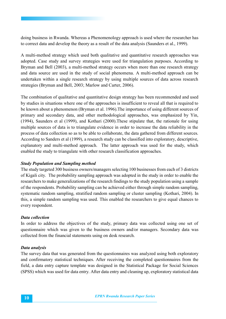doing business in Rwanda. Whereas a Phenomenology approach is used where the researcher has to correct data and develop the theory as a result of the data analysis (Saunders et al., 1999).

A multi-method strategy which used both qualitative and quantitative research approaches was adopted. Case study and survey strategies were used for triangulation purposes. According to Bryman and Bell (2003), a multi-method strategy occurs when more than one research strategy and data source are used in the study of social phenomena. A multi-method approach can be undertaken within a single research strategy by using multiple sources of data across research strategies (Bryman and Bell, 2003; Marlow and Carter, 2006).

The combination of qualitative and quantitative design strategy has been recommended and used by studies in situations where one of the approaches is insufficient to reveal all that is required to be known about a phenomenon (Bryman et al. 1996).The importance of using different sources of primary and secondary data, and other methodological approaches, was emphasized by Yin, (1994), Saunders et al (1999), and Kothari (2000).These stipulate that, the rationale for using multiple sources of data is to triangulate evidence in order to increase the data reliability in the process of data collection so as to be able to collaborate, the data gathered from different sources. According to Sanders et al (1999), a research study can be classified into exploratory, descriptive, explanatory and multi-method approach. The latter approach was used for the study, which enabled the study to triangulate with other research classification approaches.

#### *Study Population and Sampling method*

The study targeted 300 business owners/managers selecting 100 businesses from each of 3 districts of Kigali city. The probability sampling approach was adopted in the study in order to enable the researchers to make generalizations of the research findings to the study population using a sample of the respondents. Probability sampling can be achieved either through simple random sampling, systematic random sampling, stratified random sampling or cluster sampling (Kothari, 2004). In this, a simple random sampling was used. This enabled the researchers to give equal chances to every respondent.

#### *Data collection*

In order to address the objectives of the study, primary data was collected using one set of questionnaire which was given to the business owners and/or managers. Secondary data was collected from the financial statements using on desk research.

#### *Data analysis*

The survey data that was generated from the questionnaires was analyzed using both exploratory and confirmatory statistical techniques. After receiving the completed questionnaires from the field, a data entry capture template was designed in the Statistical Package for Social Sciences (SPSS) which was used for data entry. After data entry and cleaning up, exploratory statistical data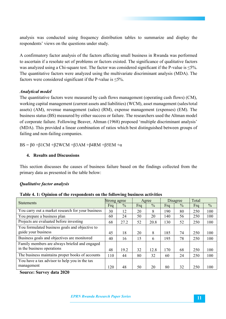analysis was conducted using frequency distribution tables to summarize and display the respondents' views on the questions under study.

A confirmatory factor analysis of the factors affecting small business in Rwanda was performed to ascertain if a resolute set of problems or factors existed. The significance of qualitative factors was analyzed using a Chi-square test. The factor was considered significant if the P-value is  $\leq 5\%$ . The quantitative factors were analyzed using the multivariate discriminant analysis (MDA). The factors were considered significant if the P-value is  $\leq 5\%$ .

#### *Analytical model*

The quantitative factors were measured by cash flows management (operating cash flows) (CM), working capital management (current assets and liabilities) (WCM), asset management (sales/total assets) (AM), revenue management (sales) (RM), expense management (expenses) (EM). The business status (BS) measured by either success or failure. The researchers used the Altman model of corporate failure. Following Beaver, Altman (1968) proposed 'multiple discriminant analysis' (MDA). This provided a linear combination of ratios which best distinguished between groups of failing and non-failing companies.

BS =  $\beta$ 0 + $\beta$ 1CM + $\beta$ 2WCM + $\beta$ 3AM + $\beta$ 4RM + $\beta$ 5EM + $\alpha$ 

#### **4. Results and Discussions**

This section discusses the causes of business failure based on the findings collected from the primary data as presented in the table below:

#### *Qualitative factor analysis*

| <b>Statements</b>                                 | Strong agree |               |     | Agree         |     | Disagree      | Total |               |
|---------------------------------------------------|--------------|---------------|-----|---------------|-----|---------------|-------|---------------|
|                                                   | Frq          | $\frac{0}{0}$ | Frq | $\frac{0}{0}$ | Frq | $\frac{0}{0}$ | Frq   | $\frac{0}{0}$ |
| You carry out a market research for your business | 30           | 12            | 20  | 8             | 190 | 80            | 250   | 100           |
| You prepare a business plan                       | 60           | 24            | 50  | 20            | 140 | 56            | 250   | 100           |
| Projects are evaluated before investing           | 68           | 27.2          | 52  | 20.8          | 130 | 52            | 250   | 100           |
| You formulated business goals and objective to    |              |               |     |               |     |               |       |               |
| guide your business                               | 45           | 18            | 20  | 8             | 185 | 74            | 250   | 100           |
| Business goals and objectives are monitored       | 40           | 16            | 15  | 6             | 195 | 78            | 250   | 100           |
| Family members are always briefed and engaged     |              |               |     |               |     |               |       |               |
| in the business operations                        | 48           | 19.2          | 32  | 12.8          | 170 | 68            | 250   | 100           |
| The business maintains proper books of accounts   | 110          | 44            | 80  | 32            | 60  | 24            | 250   | 100           |
| You have a tax advisor to help you in the tax     |              |               |     |               |     |               |       |               |
| management                                        | 120          | 48            | 50  | 20            | 80  | 32            | 250   | 100           |

**Table 4. 1: Opinion of the respondents on the following business activities** 

**Source: Survey data 2020**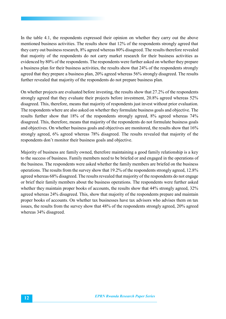In the table 4.1, the respondents expressed their opinion on whether they carry out the above mentioned business activities. The results show that 12% of the respondents strongly agreed that they carry out business research, 8% agreed whereas 80% disagreed. The results therefore revealed that majority of the respondents do not carry market research for their business activities as evidenced by 80% of the respondents. The respondents were further asked on whether they prepare a business plan for their business activities, the results show that 24% of the respondents strongly agreed that they prepare a business plan, 20% agreed whereas 56% strongly disagreed. The results further revealed that majority of the respondents do not prepare business plan.

On whether projects are evaluated before investing, the results show that 27.2% of the respondents strongly agreed that they evaluate their projects before investment, 20.8% agreed whereas 52% disagreed. This, therefore, means that majority of respondents just invest without prior evaluation. The respondents where are also asked on whether they formulate business goals and objective. The results further show that 18% of the respondents strongly agreed, 8% agreed whereas 74% disagreed. This, therefore, means that majority of the respondents do not formulate business goals and objectives. On whether business goals and objectives are monitored, the results show that 16% strongly agreed, 6% agreed whereas 78% disagreed. The results revealed that majority of the respondents don't monitor their business goals and objective.

Majority of business are family owned, therefore maintaining a good family relationship is a key to the success of business. Family members need to be briefed or and engaged in the operations of the business. The respondents were asked whether the family members are briefed on the business operations. The results from the survey show that 19.2% of the respondents strongly agreed, 12.8% agreed whereas 68% disagreed. The results revealed that majority of the respondents do not engage or brief their family members about the business operations. The respondents were further asked whether they maintain proper books of accounts, the results show that 44% strongly agreed, 32% agreed whereas 24% disagreed. This, show that majority of the respondents prepare and maintain proper books of accounts. On whether tax businesses have tax advisors who advises them on tax issues, the results from the survey show that 48% of the respondents strongly agreed, 20% agreed whereas 34% disagreed.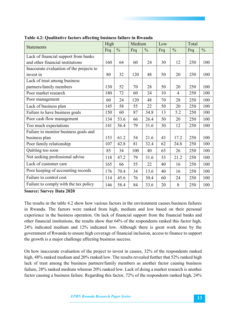| <b>Statements</b>                        |     | High          | Medium |               | Low |                | Total |               |
|------------------------------------------|-----|---------------|--------|---------------|-----|----------------|-------|---------------|
|                                          | Frq | $\frac{0}{0}$ | Frq    | $\frac{0}{0}$ | Frq | $\frac{0}{0}$  | Frq   | $\frac{0}{0}$ |
| Lack of financial support from banks     |     |               |        |               |     |                |       |               |
| and other financial institutions         | 160 | 64            | 60     | 24            | 30  | 12             | 250   | 100           |
| Inaccurate evaluation of the projects to |     |               |        |               |     |                |       |               |
| invest in                                | 80  | 32            | 120    | 48            | 50  | 20             | 250   | 100           |
| Lack of trust among business             |     |               |        |               |     |                |       |               |
| partners/family members                  | 130 | 52            | 70     | 28            | 50  | 20             | 250   | 100           |
| Poor market research                     | 180 | 72            | 60     | 24            | 10  | $\overline{4}$ | 250   | 100           |
| Poor management                          | 60  | 24            | 120    | 48            | 70  | 28             | 250   | 100           |
| Lack of business plan                    | 145 | 58            | 55     | 22            | 50  | 20             | 250   | 100           |
| Failure to have business goals           | 150 | 60            | 87     | 34.8          | 13  | 5.2            | 250   | 100           |
| Poor cash flow management                | 134 | 53.6          | 66     | 26.4          | 50  | 20             | 250   | 100           |
| Too much expectations                    | 141 | 56.4          | 79     | 31.6          | 30  | 12             | 250   | 100           |
| Failure to monitor business goals and    |     |               |        |               |     |                |       |               |
| business plan                            | 153 | 61.2          | 54     | 21.6          | 43  | 17.2           | 250   | 100           |
| Poor family relationship                 | 107 | 42.8          | 81     | 32.4          | 62  | 24.8           | 250   | 100           |
| Quitting too soon                        | 85  | 34            | 100    | 40            | 65  | 26             | 250   | 100           |
| Not seeking professional advise          | 118 | 47.2          | 79     | 31.6          | 53  | 21.2           | 250   | 100           |
| Lack of customer care                    | 165 | 66            | 55     | 22            | 40  | 16             | 250   | 100           |
| Poor keeping of accounting records       | 176 | 70.4          | 34     | 13.6          | 40  | 16             | 250   | 100           |
| Failure to control cost                  | 114 | 45.6          | 76     | 30.4          | 60  | 24             | 250   | 100           |
| Failure to comply with the tax policy    | 146 | 58.4          | 84     | 33.6          | 20  | 8              | 250   | 100           |

**Table 4.2: Qualitative factors affecting business failure in Rwanda** 

**Source: Survey Data 2020**

The results in the table 4.2 show how various factors in the environment causes business failures in Rwanda. The factors were ranked from high, medium and low based on their personal experience in the business operation. On lack of financial support from the financial banks and other financial institutions, the results show that 64% of the respondents ranked this factor high, 24% indicated medium and 12% indicated low. Although there is great work done by the government of Rwanda to ensure high coverage of financial inclusion, access to finance to support the growth is a major challenge affecting business success.

On how inaccurate evaluation of the project to invest in causes, 32% of the respondents ranked high, 48% ranked medium and 20% ranked low. The results revealed further that 52% ranked high lack of trust among the business partners/family members as another factor causing business failure, 28% ranked medium whereas 20% ranked low. Lack of doing a market research is another factor causing a business failure. Regarding this factor, 72% of the respondents ranked high, 24%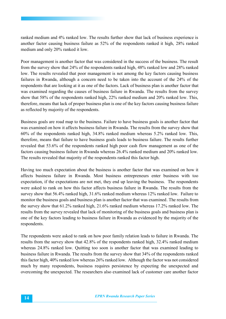ranked medium and 4% ranked low. The results further show that lack of business experience is another factor causing business failure as 52% of the respondents ranked it high, 28% ranked medium and only 20% ranked it low.

Poor management is another factor that was considered in the success of the business. The result from the survey show that 24% of the respondents ranked high, 48% ranked low and 28% ranked low. The results revealed that poor management is not among the key factors causing business failures in Rwanda, although a concern need to be taken into the account of the 24% of the respondents that are looking at it as one of the factors. Lack of business plan is another factor that was examined regarding the causes of business failure in Rwanda. The results from the survey show that 58% of the respondents ranked high, 22% ranked medium and 20% ranked low. This, therefore, means that lack of proper business plan is one of the key factors causing business failure as reflected by majority of the respondents.

Business goals are road map to the business. Failure to have business goals is another factor that was examined on how it affects business failure in Rwanda. The results from the survey show that 60% of the respondents ranked high, 34.8% ranked medium whereas 5.2% ranked low. This, therefore, means that failure to have business goals leads to business failure. The results further revealed that 53.6% of the respondents ranked high poor cash flow management as one of the factors causing business failure in Rwanda whereas 26.4% ranked medium and 20% ranked low. The results revealed that majority of the respondents ranked this factor high.

Having too much expectation about the business is another factor that was examined on how it affects business failure in Rwanda. Most business entrepreneurs enter business with too expectation, if the expectations are not met, they end up leaving the business. The respondents were asked to rank on how this factor affects business failure in Rwanda. The results from the survey show that 56.4% ranked high, 31.6% ranked medium whereas 12% ranked low. Failure to monitor the business goals and business plan is another factor that was examined. The results from the survey show that 61.2% ranked high, 21.6% ranked medium whereas 17.2% ranked low. The results from the survey revealed that lack of monitoring of the business goals and business plan is one of the key factors leading to business failure in Rwanda as evidenced by the majority of the respondents.

The respondents were asked to rank on how poor family relation leads to failure in Rwanda. The results from the survey show that 42.8% of the respondents ranked high, 32.4% ranked medium whereas 24.8% ranked low. Quitting too soon is another factor that was examined leading to business failure in Rwanda. The results from the survey show that 34% of the respondents ranked this factor high, 40% ranked low whereas 26% ranked low. Although the factor was not considered much by many respondents, business requires persistence by expecting the unexpected and overcoming the unexpected. The researchers also examined lack of customer care another factor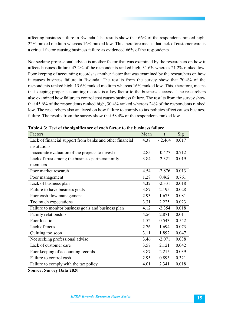affecting business failure in Rwanda. The results show that 66% of the respondents ranked high, 22% ranked medium whereas 16% ranked low. This therefore means that lack of customer care is a critical factor causing business failure as evidenced 66% of the respondents.

Not seeking professional advice is another factor that was examined by the researchers on how it affects business failure. 47.2% of the respondents ranked high, 31.6% whereas 21.2% ranked low. Poor keeping of accounting records is another factor that was examined by the researchers on how it causes business failure in Rwanda. The results from the survey show that 70.4% of the respondents ranked high, 13.6% ranked medium whereas 16% ranked low. This, therefore, means that keeping proper accounting records is a key factor to the business success. The researchers also examined how failure to control cost causes business failure. The results from the survey show that 45.6% of the respondents ranked high, 30.4% ranked whereas 24% of the respondents ranked low. The researchers also analyzed on how failure to comply to tax policies affect causes business failure. The results from the survey show that 58.4% of the respondents ranked low.

| Lack of financial support from banks and other financial | 4.37 |          |       |
|----------------------------------------------------------|------|----------|-------|
|                                                          |      | $-2.464$ | 0.017 |
| institutions                                             |      |          |       |
| Inaccurate evaluation of the projects to invest in       | 2.85 | $-0.477$ | 0.712 |
| Lack of trust among the business partners/family         | 3.84 | $-2.321$ | 0.019 |
| members                                                  |      |          |       |
| Poor market research                                     | 4.54 | $-2.876$ | 0.013 |
| Poor management                                          | 1.28 | 0.462    | 0.761 |
| Lack of business plan                                    | 4.32 | $-2.331$ | 0.018 |
| Failure to have business goals                           | 3.87 | 2.195    | 0.028 |
| Poor cash flow management                                | 2.93 | 1.673    | 0.081 |
| Too much expectations                                    | 3.31 | 2.225    | 0.023 |
| Failure to monitor business goals and business plan      | 4.12 | $-2.354$ | 0.018 |
| Family relationship                                      | 4.56 | 2.871    | 0.011 |
| Poor location                                            | 1.52 | 0.543    | 0.542 |
| Lack of focus                                            | 2.76 | 1.694    | 0.073 |
| Quitting too soon                                        | 3.11 | 1.892    | 0.047 |
| Not seeking professional advise                          | 3.46 | $-2.071$ | 0.038 |
| Lack of customer care                                    | 3.57 | 2.121    | 0.042 |
| Poor keeping of accounting records                       | 3.87 | 2.215    | 0.039 |
| Failure to control cash                                  | 2.95 | 0.893    | 0.321 |
| Failure to comply with the tax policy                    | 4.01 | 2.341    | 0.018 |

**Table 4.3: Test of the significance of each factor to the business failure** 

**Source: Survey Data 2020**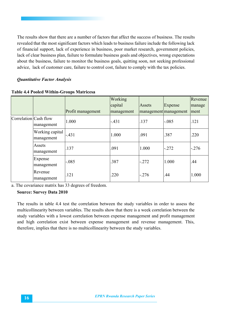The results show that there are a number of factors that affect the success of business. The results revealed that the most significant factors which leads to business failure include the following lack of financial support, lack of experience in business, poor market research, government policies, lack of clear business plan, failure to formulate business goals and objectives, wrong expectations about the business, failure to monitor the business goals, quitting soon, not seeking professional advice, lack of customer care, failure to control cost, failure to comply with the tax policies.

#### *Quantitative Factor Analysis*

|                       |                               |                   | Working<br>capital | Assets  |                                  | Revenue        |
|-----------------------|-------------------------------|-------------------|--------------------|---------|----------------------------------|----------------|
|                       |                               | Profit management | management         |         | Expense<br>management management | manage<br>ment |
| Correlation Cash flow | management                    | 1.000             | $-.431$            | .137    | $-.085$                          | .121           |
|                       | Working capital<br>management | $-.431$           | 1.000              | .091    | .387                             | .220           |
|                       | Assets<br>management          | .137              | .091               | 1.000   | $-.272$                          | $-.276$        |
|                       | Expense<br>management         | $-.085$           | .387               | $-.272$ | 1.000                            | .44            |
|                       | Revenue<br>management         | .121              | .220               | $-.276$ | .44                              | 1.000          |

**Table 4.4 Pooled Within-Groups Matricesa**

a. The covariance matrix has 33 degrees of freedom.

#### **Source: Survey Data 2010**

The results in table 4.4 test the correlation between the study variables in order to assess the multicollinearity between variables. The results show that there is a week correlation between the study variables with a lowest correlation between expense management and profit management and high correlation exist between expense management and revenue management. This, therefore, implies that there is no multicollinearity between the study variables.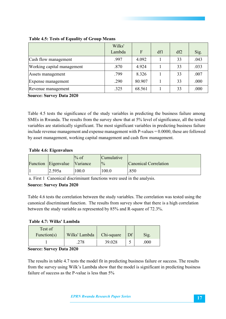|                            | Wilks' |        |     |     |      |
|----------------------------|--------|--------|-----|-----|------|
|                            | Lambda | F      | df1 | df2 | Sig. |
| Cash flow management       | .997   | 4.092  |     | 33  | .043 |
| Working capital management | .870   | 4.924  |     | 33  | .033 |
| Assets management          | .799   | 8.326  |     | 33  | .007 |
| Expense management         | .290   | 80.907 |     | 33  | .000 |
| Revenue management         | .325   | 68.561 |     | 33  | .000 |

#### **Table 4.5: Tests of Equality of Group Means**

**Source: Survey Data 2020**

Table 4.5 tests the significance of the study variables in predicting the business failure among SMEs in Rwanda. The results from the survey show that at 5% level of significance, all the tested variables are statistically significant. The most significant variables in predicting business failure include revenue management and expense management with  $P$ -values  $= 0.0000$ , these are followed by asset management, working capital management and cash flow management.

#### **Table 4.6: Eigenvalues**

|                     | $\%$ of          | Cumulative     |                       |
|---------------------|------------------|----------------|-----------------------|
| Function Eigenvalue | <i>N</i> ariance | $\frac{10}{6}$ | Canonical Correlation |
| 2.595a              | 0.00             | 100.0          | .850                  |

a. First 1 Canonical discriminant functions were used in the analysis.

#### **Source: Survey Data 2020**

Table 4.6 tests the correlation between the study variables. The correlation was tested using the canonical discriminant function. The results from survey show that there is a high correlation between the study variable as represented by 85% and R-square of 72.3%.

#### **Table 4.7: Wilks' Lambda**

| Test of<br>Function(s) | Wilks' Lambda | Chi-square | Df | Sig. |
|------------------------|---------------|------------|----|------|
|                        | 278           | 39.028     |    | 000  |

#### **Source: Survey Data 2020**

The results in table 4.7 tests the model fit in predicting business failure or success. The results from the survey using Wilk's Lambda show that the model is significant in predicting business failure of success as the P-value is less than 5%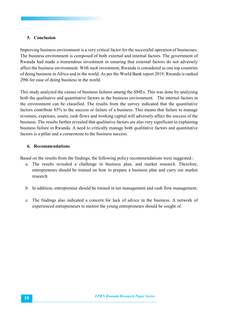#### **5. Conclusion**

Improving business environment is a very critical factor for the successful operation of businesses. The business environment is composed of both external and internal factors. The government of Rwanda had made a tremendous investment in ensuring that external factors do not adversely affect the business environment. With such investment, Rwanda is considered as one top countries of doing business in Africa and in the world. As per the World Bank report 2019, Rwanda is ranked 29th for ease of doing business in the world.

This study analyzed the causes of business failures among the SMEs. This was done by analyzing both the qualitative and quantitative factors in the business environment. The internal factors in the environment can be classified. The results from the survey indicated that the quantitative factors contribute 85% to the success or failure of a business. This means that failure to manage revenues, expenses, assets, cash flows and working capital will adversely affect the success of the business. The results further revealed that qualitative factors are also very significant in explaining business failure in Rwanda. A need to critically manage both qualitative factors and quantitative factors is a pillar and a cornerstone to the business success.

#### **6. Recommendations**

Based on the results from the findings, the following policy recommendations were suggested.:

- a. The results revealed a challenge in business plan, and market research. Therefore, entrepreneurs should be trained on how to prepare a business plan and carry out market research
- b. In addition, entrepreneur should be trained in tax management and cash flow management.
- c. The findings also indicated a concern for lack of advice in the business. A network of experienced entrepreneurs to mentor the young entrepreneurs should be sought of.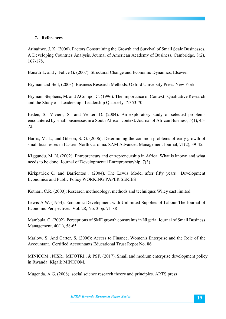#### **7. References**

Arinaitwe, J. K. (2006). Factors Constraining the Growth and Survival of Small Scale Businesses. A Developing Countries Analysis. Journal of American Academy of Business, Cambridge, 8(2), 167-178.

Bonatti L. and , Felice G. (2007). Structural Change and Economic Dynamics, Elsevier

Bryman and Bell, (2003): Business Research Methods. Oxford University Press. New York

Bryman, Stephens, M. and ACompo, C. (1996): The Importance of Context: Qualitative Research and the Study of Leadership. Leadership Quarterly, 7:353-70

Eeden, S., Viviers, S., and Venter, D. (2004). An exploratory study of selected problems encountered by small businesses in a South African context. Journal of African Business, 5(1), 45- 72.

Harris, M. L., and Gibson, S. G. (2006). Determining the common problems of early growth of small businesses in Eastern North Carolina. SAM Advanced Management Journal, 71(2), 39-45.

Kiggundu, M. N. (2002). Entrepreneurs and entrepreneurship in Africa: What is known and what needs to be done. Journal of Developmental Entrepreneurship, 7(3).

Kirkpatrick C. and Barrientos . (2004). The Lewis Model after fifty years Development Economics and Public Policy WORKING PAPER SERIES

Kothari, C.R. (2000): Research methodology, methods and techniques Wiley east limited

Lewis A.W. (1954). Economic Development with Unlimited Supplies of Labour The Journal of Economic Perspectives Vol. 28, No. 3 pp. 71-88

Mambula, C. (2002). Perceptions of SME growth constraints in Nigeria. Journal of Small Business Management, 40(1), 58-65.

Marlow, S. And Carter, S. (2006): Access to Finance, Women's Enterprise and the Role of the Accountant. Certified Accountants Educational Trust Repot No. 86

MINICOM., NISR., MIFOTRI., & PSF. (2017). Small and medium enterprise development policy in Rwanda. Kigali: MINICOM.

Mugenda, A.G. (2008): social science research theory and principles. ARTS press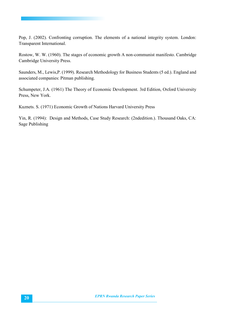Pop, J. (2002). Confronting corruption. The elements of a national integrity system. London: Transparent International.

Rostow, W. W. (1960). The stages of economic growth A non-communist manifesto. Cambridge Cambridge University Press.

Saunders, M., Lewis,P. (1999). Research Methodology for Business Students (5 ed.). England and associated companies: Pitman publishing.

Schumpeter, J.A. (1961) The Theory of Economic Development. 3rd Edition, Oxford University Press, New York.

Kuznets. S. (1971) Economic Growth of Nations Harvard University Press

Yin, R. (1994): Design and Methods, Case Study Research: (2ndedition.). Thousand Oaks, CA: Sage Publishing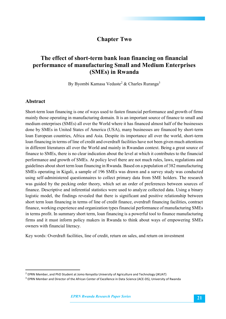## **Chapter Two**

## **The effect of short-term bank loan financing on financial performance of manufacturing Small and Medium Enterprises (SMEs) in Rwanda**

By Byombi Kamasa Vedaste<sup>2</sup> & Charles Ruranga<sup>3</sup>

#### **Abstract**

Short-term loan financing is one of ways used to fasten financial performance and growth of firms mainly those operating in manufacturing domain. It is an important source of finance to small and medium enterprises (SMEs) all over the World where it has financed almost half of the businesses done by SMEs in United States of America (USA), many businesses are financed by short-term loan European countries, Africa and Asia. Despite its importance all over the world, short-term loan financing in terms of line of credit and overdraft facilities have not been given much attentions in different literatures all over the World and mainly in Rwandan context. Being a great source of finance to SMEs, there is no clear indication about the level at which it contributes to the financial performance and growth of SMEs. At policy level there are not much rules, laws, regulations and guidelines about short term loan financing in Rwanda. Based on a population of 382 manufacturing SMEs operating in Kigali, a sample of 196 SMEs was drawn and a survey study was conducted using self-administered questionnaires to collect primary data from SME holders. The research was guided by the pecking order theory, which set an order of preferences between sources of finance. Descriptive and inferential statistics were used to analyze collected data. Using a binary logistic model, the findings revealed that there is significant and positive relationship between short term loan financing in terms of line of credit finance, overdraft financing facilities, contract finance, working experience and organization types financial performance of manufacturing SMEs in terms profit. In summary short term, loan financing is a powerful tool to finance manufacturing firms and it must inform policy makers in Rwanda to think about ways of empowering SMEs owners with financial literacy.

Key words: Overdraft facilities, line of credit, return on sales, and return on investment

<sup>&</sup>lt;sup>2</sup> EPRN Member, and PhD Student at Jomo Kenyatta University of Agriculture and Technology (JKUAT)

<sup>&</sup>lt;sup>3</sup> EPRN Member and Director of the African Center of Excellence in Data Science (ACE-DS), University of Rwanda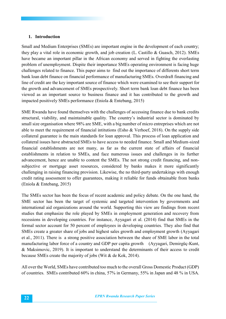#### **1. Introduction**

Small and Medium Enterprises (SMEs) are important engine in the development of each country; they play a vital role in economic growth, and job creation (L. Castillo & Guasch, 2012). SMEs have became an important pillar in the African economy and served in fighting the everlasting problem of unemployment. Dispite their importance SMEs operating environment is facing huge challenges related to finance. This paper aims to find out the importance of differents short term bank loan debt finance on financial performance of manufacturing SMEs. Overdraft financing and line of credit are the key important source of finance which were examined to see their support for the growth and advancement of SMEs prospectively. Short term bank loan debt finance has been viewed as an important source to business finance and it has contributed to the growth and impacted positively SMEs performance (Eniola & Entebang, 2015)

SME Rwanda have found themselves with the challenges of accessing finance due to bank credits structural, viability, and maintainable quality. The country's industrial sector is dominated by small size organisation where 98% are SME, with a big number of micro entreprises which are not able to meet the requirement of financial intitutions (Esho & Verhoef, 2018). On the supply side collateral guarantee is the main standards for loan approval. This process of loan application and collateral issues have abstracted SMEs to have access to needed finance. Small and Medium-sized financial establishments are not many, as far as the current state of affairs of financial establishments in relation to SMEs, and face numerous issues and challenges in its further advancement, hence are unable to content the SMEs. The not strong credit financing, and nonsubjective or mortgage asset resources, considered by banks makes it more significantly challenging in raising financing provision. Likewise, the no third-party undertakings with enough credit rating assessment to offer guarantees, making it reliable for funds obtainable from banks (Eniola & Entebang, 2015)

The SMEs sector has been the focus of recent academic and policy debate. On the one hand, the SME sector has been the target of systemic and targeted intervention by governments and international aid organizations around the world. Supporting this view are findings from recent studies that emphasize the role played by SMEs in employment generation and recovery from recessions in developing countries. For instance, Ayyagari et al. (2014) find that SMEs in the formal sector account for 50 percent of employees in developing countries. They also find that SMEs create a greater share of jobs and highest sales growth and employment growth (Ayyagari et al., 2011). There is a strong positive association between the share of SME labor in the total manufacturing labor force of a country and GDP per capita growth (Ayyagari, Demirgüç-Kunt, & Maksimovic, 2019). It is important to understand the determinants of their access to credit because SMEs create the majority of jobs (Wit & de Kok, 2014).

All over the World, SMEs have contributed too much to the overall Gross Domestic Product (GDP) of countries. SMEs contributed 60% in china, 57% in Germany, 55% in Japan and 48 % in USA.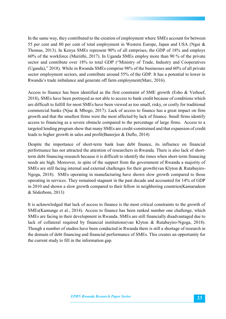In the same way, they contributed to the creation of employment where SMEs account for between 55 per cent and 80 per cent of total employment in Western Europe, Japan and USA (Ngui & Thomas, 2013). In Kenya SMEs represent 90% of all entrprises, the GDP of 18% and employs 60% of the workforce (Muriithi, 2017). In Uganda SMEs employ more than 90 % of the private sector and contribute over 18% to total GDP ("Ministry of Trade, Industry and Cooperatives (Uganda)," 2018). While in Rwanda SMEs comprise 98% of the businesses and 60% of all private sector employment sectors, and contribute around 55% of the GDP. It has a potential to lower in Rwanda's trade imbalance and generate off farm employment(Marc, 2016).

Access to finance has been identified as the first constraint of SME growth (Esho & Verhoef, 2018), SMEs have been portrayed as not able to access to bank credit because of conditions which are difficult to fulfill for most SMEs have been viewed as too small, risky, or costly for traditional commercial banks (Njue & Mbogo, 2017). Lack of access to finance has a great impact on firm growth and that the smallest firms were the most affected by lack of finance. Small firms identify access to financing as a severe obstacle compared to the percentage of large firms. Access to a targeted lending program show that many SMEs are credit-constrained and that expansion of credit leads to higher growth in sales and profit(Banerjee & Duflo, 2014)

Despite the importance of short-term bank loan debt finance, its influence on financial performance has not attracted the attention of researchers in Rwanda. There is also lack of shortterm debt financing research because it is difficult to identify the times when short-term financing needs are high. Moreover, in spite of the support from the government of Rwanda a majority of SMEs are still facing internal and external challenges for their growth(van Klyton & Rutabayiro-Ngoga, 2018). SMEs operating in manufacturing have shown slow growth compared to those operating in services. They remained stagnant in the past decade and accounted for 14% of GDP in 2010 and shown a slow growth compared to their fellow in neighboring countries(Kamarudeen & Söderbom, 2013)

It is acknowledged that lack of access to finance is the most critical constraints to the growth of SMEs(Kamunge et al., 2014). Access to finance has been ranked number one challenge, which SMEs are facing in their development in Rwanda. SMEs are still financially disadvantaged due to lack of collateral required by financial institutions(van Klyton & Rutabayiro-Ngoga, 2018). Though a number of studies have been conducted in Rwanda there is still a shortage of research in the domain of debt financing and financial performance of SMEs. This creates an opportunity for the current study to fill in the information gap.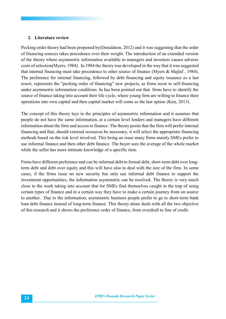#### **2. Literature review**

Pecking order theory had been proponed by(Donaldson, 2012) and it was suggesting that the order of financing sources takes precedence over their weight. The introduction of an extended version of the theory where asymmetric information available to managers and investors causes adverse costs of selection(Myers, 1984). In 1984 the theory was developed in the way that it was suggested that internal financing must take precedence to other source of finance (Myers & Majluf , 1984). The preference for internal financing, followed by debt financing and equity issuance as a last resort, represents the "pecking order of financing" new projects, as firms recur to self-financing under asymmetric information conditions. In has been pointed out that firms have to identify the source of finance taking into account their life cycle, where young firm are willing to finance their operations into own capital and then capital market will come as the last option (Kira, 2013).

The concept of this theory lays in the principles of asymmetric information and it assumes that people do not have the same information, at a certain level lenders and managers have different information about the firm and access to finance. The theory posits that the firm will prefer internal financing and that, should external resources be necessary, it will select the appropriate financing methods based on the risk level involved. This being an issue many firms mainly SMEs prefer to use informal finance and then other debt finance. The buyer sees the average of the whole market while the seller has more intimate knowledge of a specific item.

Firms have different preference and can be informal debt to formal debt, short-term debt over longterm debt and debt over equity and this will have also to deal with the size of the firm. In some cases, if the firms issue no new security but only use informal debt finance to support the investment opportunities, the information asymmetric can be resolved. The theory is very much close to the work taking into account that for SMEs find themselves caught in the trap of using certain types of finance and in a certain way they have to make a certain journey from on source to another. Due to the information, asymmetric business people prefer to go to short-term bank loan debt finance instead of long-term finance. This theory alone deals with all the two objective of this research and it shows the preference order of finance, from overdraft to line of credit.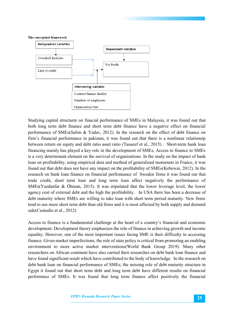#### The conceptual framework



Studying capital structurre on finacial performance of SMEs in Malaysia, it was found out that both long term debt finance and short term debt finance have a negative effect on financial performance of SMEs(Salim & Yadav, 2012). In the research on the effect of debt finance on firm's financial performance in pakistan, it was found out that there is a nonlinear relationsip between return on equity and debt ratio asset ratio (Tauseef et al., 2015) . Short-term bank loan financing mainly has played a key role in the development of SMEs, Access to finance to SMEs is a very determinant element on the survival of organizations. In the study on the impact of bank loan on profitability, using empirical data and method of generalized momenets in France, it was found out that debt does not have any impact on the profitability of SMEs(Kebewar, 2012). In the research on bank loan finance on financial perfromance of Sweden firms it was found out that trade credit, short term loan and long term loan affect negatively the performance of SMEs(Yazdanfar & Öhman, 2015). It was stipulated that the lower leverage level, the lower agency cost of external debt and the high the profitability. In USA there has been a decrease of debt maturity where SMEs are willing to take loan with short term period maturity. New firms tend to use more short term debt than old firms and it is most affected by both supply and demand side(Custodio et al., 2012)

Access to finance is a fundamental challenge at the heart of a country's financial and economic development. Development theory emphasizes the role of finance in achieving growth and income equality. However, one of the most important issues facing SME is their difficulty in accessing finance. Given market imperfections, the role of state policy is critical from promoting an enabling environment to more active market interventions(World Bank Group 2019). Many other researchers on African continent have also carried their researches on debt bank loan finance and have found significant result which have contributed to the body of knowledge. In the research on debt bank loan on financial performance of SMEs; the missing role of debt maturity structure in Egypt it found out that short term debt and long term debt have different results on financial performnce of SMEs. It was found that long term finance affect positively the financial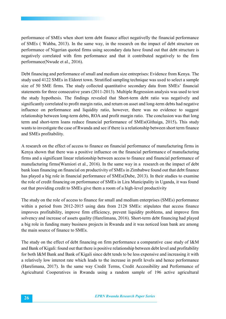performance of SMEs when short term debt finance affect negativelly the financial performance of SMEs ( Wahba, 2013). In the same way, in the research on the impact of debt structure on performance of Nigerian quoted firms using secondary data have found out that debt structure is negatively correlated with firm performance and that it contributed negatively to the firm performance(Nwude et al., 2016).

Debt financing and performance of small and medium size entreprises: Evidence from Kenya. The study used 4122 SMEs in Eldoret town. Stratified sampling technique was used to select a sample size of 50 SME firms. The study collected quantitative secondary data from SMEs' financial statements for three consecutive years (2011-2013). Multiple Regression analysis was used to test the study hypothesis. The findings revealed that Short-term debt ratio was negatively and significantly correlated to profit margin ratio, and return on asset and long-term debts had negative influence on performance and liquidity ratio, however, there was no evidence to suggest relationship between long-term debts, ROA and profit margin ratio. The conclusion was that long term and short-term loans reduce financial performance of SMEs(Githaiga, 2015)**.** This study wants to investigate the case of Rwanda and see if there is a relationship between short term finance and SMEs profitability.

A research on the effect of access to finance on financial performance of manufacturing firms in Kenya shown that there was a positive influence on the financial performance of manufacturing firms and a significant linear relationship between access to finance and financial performance of manufacturing firms(Wamiori et al., 2016). In the same way in a research on the impact of debt bank loan financing on financial on productivity of SMEs in Zimbabwe found out that debt finance has played a big role in financial performance of SMEs(Dube, 2013). In their studies to examine the role of credit financing on performance of SMEs in Lira Municipality in Uganda, it was found out that providing credit to SMEs give them a room of a high-level productivity

The study on the role of access to finance for small and medium enterprises (SMEs) performance within a period from 2012-2015 using data from 2128 SMEs: stipulates that access finance improves profitability, improve firm efficiency, prevent liquidity problems, and improve firm solvency and increase of assets quality (Harelimana, 2016). Short-term debt financing had played a big role in funding many business projects in Rwanda and it was noticed loan bank are among the main source of finance to SMEs.

The study on the effect of debt financing on firm performance a comparative case study of I&M and Bank of Kigali: found out that there is positive relationship between debt level and profitability for both I&M Bank and Bank of Kigali since debt tends to be less expensive and increasing it with a relatively low interest rate which leads to the increase in profit levels and hence performance (Harelimana, 2017). In the same way Credit Terms, Credit Accessibility and Performance of Agricultural Cooperatives in Rwanda using a random sample of 196 active agricultural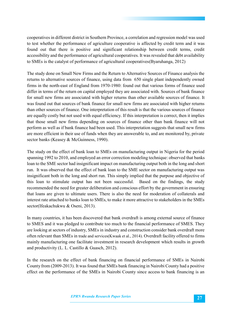cooperatives in different district in Southern Province, a correlation and regression model was used to test whether the performance of agriculture cooperative is affected by credit term and it was found out that there is positive and significant relationship between credit terms, credit accessibility and the performance of agricultural cooperatives. It was revealed that debt availability to SMEs is the catalyst of performance of agricultural cooperatives(Byaruhanga, 2012)

The study done on Small New Firms and the Return to Alternative Sources of Finance analysis the returns to alternative sources of finance, using data from 650 single plant independently owned firms in the north-east of England from 1970-1980: found out that various forms of finance used differ in terms of the return on capital employed they are associated with. Sources of bank finance for small new firms are associated with higher returns than other available sources of finance. It was found out that sources of bank finance for small new firms are associated with higher returns than other sources of finance. One interpretation of this result is that the various sources of finance are equally costly but not used with equal efficiency. If this interpretation is correct, then it implies that those small new firms depending on sources of finance other than bank finance will not perform as well as if bank finance had been used. This interpretation suggests that small new firms are more efficient in their use of funds when they are answerable to, and are monitored by, private sector banks (Keasey & McGuinness, 1990).

The study on the effect of bank loan to SMEs on manufacturing output in Nigeria for the period spanning 1992 to 2010, and employed an error correction modeling technique: observed that banks loan to the SME sector had insignificant impact on manufacturing output both in the long and short run. It was observed that the effect of bank loan to the SME sector on manufacturing output was insignificant both in the long and short run. This simply implied that the purpose and objective of this loan to stimulate output has not been successful. Based on the findings, the study recommended the need for greater deliberation and conscious effort by the government in ensuring that loans are given to ultimate users. There is also the need for moderation of collaterals and interest rate attached to banks loan to SMEs, to make it more attractive to stakeholders in the SMEs sector(Ifeakachukwu & Oseni, 2013).

In many countries, it has been discovered that bank overdraft is among external source of finance to SMES and it was pledged to contribute too much to the financial performance of SMES. They are looking at sectors of industry, SMEs in industry and construction consider bank overdraft more often relevant than SMEs in trade and services(Kwaak et al., 2014). Overdraft facility offered to firms mainly manufacturing one facilitate investment in research development which results in growth and productivity (L. L. Castillo & Guasch, 2012).

In the research on the effect of bank financing on financial performance of SMEs in Nairobi County from (2009-2013). It was found that SMEs bank financing in Nairobi County had a positive effect on the performance of the SMEs in Nairobi County since access to bank financing is an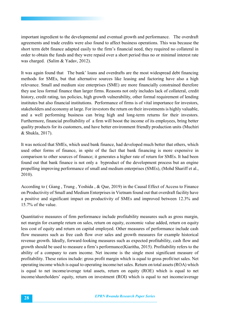important ingredient to the developmental and eventual growth and performance. The overdraft agreements and trade credits were also found to affect business operations. This was because the short term debt finance adapted easily to the firm's financial need, they required no collateral in order to obtain the funds and they were repaid over a short period thus no or minimal interest rate was charged. (Salim & Yadav, 2012).

It was again found that The bank' loans and overdrafts are the most widespread debt financing methods for SMEs, but that alternative sources like leasing and factoring have also a high relevance. Small and medium size enterprises (SME) are more financially constrained therefore they use less formal finance than larger firms. Reasons not only includes lack of collateral, credit history, credit rating, tax policies, high growth vulnerability, other formal requirement of lending institutes but also financial institutions. Performance of firms is of vital importance for investors, stakeholders and economy at large. For investors the return on their investments is highly valuable, and a well performing business can bring high and long-term returns for their investors. Furthermore, financial profitability of a firm will boost the income of its employees, bring better quality products for its customers, and have better environment friendly production units (Muchiri & Shukla, 2017).

It was noticed that SMEs, which used bank finance, had developed much better that others, which used other forms of finance, in spite of the fact that bank financing is more expensive in comparison to other sources of finance; it generates a higher rate of return for SMEs. It had been found out that bank finance is not only a byproduct of the development process but an engine propelling improving performance of small and medium enterprises (SMEs), (Mohd Shariff et al., 2010).

According to ( Giang , Trung , Yoshida , & Que, 2019) in the Causal Effect of Access to Finance on Productivity of Small and Medium Enterprises in Vietnam found out that overdraft facility have a positive and significant impact on productivity of SMEs and improved between 12.3% and 15.7% of the value.

Quantitative measures of firm performance include profitability measures such as gross margin, net margin for example return on sales, return on equity, economic value added, return on equity less cost of equity and return on capital employed. Other measures of performance include cash flow measures such as free cash flow over sales and growth measures for example historical revenue growth. Ideally, forward-looking measures such as expected profitability, cash flow and growth should be used to measure a firm's performance(Kiaritha, 2015). Profitability refers to the ability of a company to earn income. Net income is the single most significant measure of profitability. These ratios include: gross profit margin which is equal to gross profit/net sales. Net operating income which is equal to operating income/net sales. Return on total assets (ROA) which is equal to net income/average total assets, return on equity (ROE) which is equal to net income/shareholders' equity, return on investment (ROI) which is equal to net income/average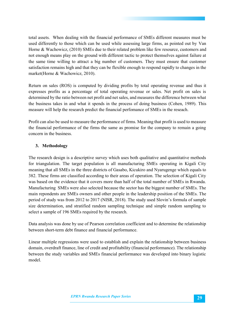total assets. When dealing with the financial performance of SMEs different measures must be used differently to those which can be used while assessing large firms, as pointed out by Van Horne & Wachowicz, (2010) SMEs due to their related problem like few resource, customers and not enough means play on the ground with different tactic to protect themselves against failure at the same time willing to attract a big number of customers. They must ensure that customer satisfaction remains high and that they can be flexible enough to respond rapidly to changes in the market(Horne & Wachowicz, 2010).

Return on sales (ROS) is computed by dividing profits by total operating revenue and thus it expresses profits as a percentage of total operating revenue or sales. Net profit on sales is determined by the ratio between net profit and net sales, and measures the difference between what the business takes in and what it spends in the process of doing business (Cohen, 1989). This measure will help the research predict the financial perfomance of SMEs in the reseach.

Profit can also be used to measure the performance of firms. Meaning that profit is used to measure the financial performance of the firms the same as promise for the company to remain a going concern in the business.

#### **3. Methodology**

The research design is a descriptive survey which uses both qualitative and quantitative methods for triangulation. The target population is all manufacturing SMEs operating in Kigali City meaning that all SMEs in the three districts of Gasabo, Kicukiro and Nyarugenge which equals to 382. These firms are classified according to their areas of operation. The selection of Kigali City was based on the evidence that it covers more than half of the total number of SMEs in Rwanda. Manufacturing SMEs were also selected because the sector has the biggest number of SMEs. The main repondents are SMEs owners and other people in the leadership position of the SMEs. The period of study was from 2012 to 2017 (NISR, 2018). The study used Slovin's formula of sample size determination, and stratified random sampling technique and simple random sampling to select a sample of 196 SMEs required by the research.

Data analysis was done by use of Pearson correlation coefficient and to determine the relationship between short-term debt finance and financial performance.

Linear multiple regressions were used to establish and explain the relationship between business domain, overdraft finance, line of credit and profitability (financial performance). The relationship between the study variables and SMEs financial performance was developed into binary logistic model.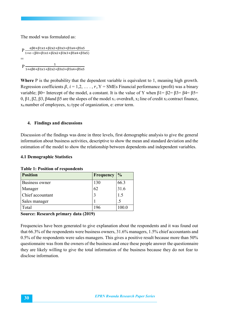The model was formulated as:

```
P \frac{e\beta 0 + \beta 1x1 + \beta 2x2 + \beta 3x3 + \beta 5x4 + \beta 5x5}{1 + e - (\beta 0 + \beta 1x1 + \beta 2x2 + \beta 3x3 + \beta 5x4 + \beta 5x5)}=
P \frac{1}{1 + e \beta 0 + \beta 1 x 1 + \beta 2 x 2 + \beta 3 x 3 + \beta 5 x 4 + \beta 5 x 5}
```
**Where** P is the probability that the dependent variable is equivalent to 1, meaning high growth. Regression coefficients  $\beta$ ,  $i = 1, 2, ..., r$ ,  $Y =$  SMEs Financial performance (profit) was a binary variable;  $β0=$  Intercept of the model, a constant. It is the value of Y when  $β1=β2=β3=β4=β5=$ 0, β1, β2, β3, β4and β5 are the slopes of the model  $x_1$  overdraft,  $x_2$  line of credit  $x_3$  contract finance, x4 number of employees, x5 type of organization, e: error term.

#### **4. Findings and discussions**

Discussion of the findings was done in three levels, first demographic analysis to give the general information about business activities, descriptive to show the mean and standard deviation and the estimation of the model to show the relationship between dependents and independent variables.

#### **4.1 Demographic Statistics**

|  | <b>Table 1: Position of respondents</b> |  |  |
|--|-----------------------------------------|--|--|
|--|-----------------------------------------|--|--|

| <b>Position</b>  | <b>Frequency</b> | $\frac{0}{0}$ |
|------------------|------------------|---------------|
| Business owner   | 130              | 66.3          |
| Manager          | 62               | 31.6          |
| Chief accountant |                  | 1.5           |
| Sales manager    |                  |               |
| Total            | 196              | 100.0         |

#### **Source: Research primary data (2019)**

Frequencies have been generated to give explanation about the respondents and it was found out that 66.3% of the respondents were business owners, 31.6% managers, 1.5% chief accountants and 0.5% of the respondents were sales managers. This gives a positive result because more than 50% questionnaire was from the owners of the business and once these people answer the questionnaire they are likely willing to give the total information of the business because they do not fear to disclose information.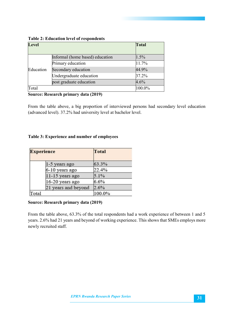| <b>Level</b> |                                 | <b>Total</b> |
|--------------|---------------------------------|--------------|
|              | Informal (home based) education | 1.5%         |
|              | Primary education               | 11.7%        |
| Education    | Secondary education             | 44.9%        |
|              | Undergraduate education         | 37.2%        |
|              | post graduate education         | 4.6%         |
| Total        |                                 | 100.0%       |

#### **Table 2: Education level of respondents**

#### **Source: Research primary data (2019)**

From the table above, a big proportion of interviewed persons had secondary level education (advanced level). 37.2% had university level at bachelor level.

#### **Table 3: Experience and number of employees**

| <b>Experience</b> |                     | <b>Total</b> |
|-------------------|---------------------|--------------|
|                   | 1-5 years ago       | 63.3%        |
|                   | 6-10 years ago      | 22.4%        |
|                   | 11-15 years ago     | 5.1%         |
|                   | 16-20 years ago     | 6.6%         |
|                   | 21 years and beyond | 2.6%         |
| Total             |                     | 100.0%       |

#### **Source: Research primary data (2019)**

From the table above, 63.3% of the total respondents had a work experience of between 1 and 5 years. 2.6% had 21 years and beyond of working experience. This shows that SMEs employs more newly recruited staff.

32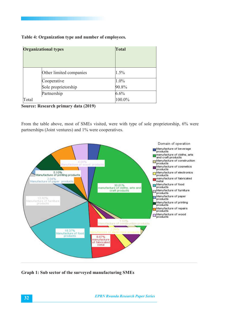#### **Table 4: Organization type and number of employees.**

|       | <b>Organizational types</b> | <b>Total</b> |  |
|-------|-----------------------------|--------------|--|
|       | Other limited companies     | 1.5%         |  |
|       | Cooperative                 | 1.0%         |  |
|       | Sole proprietorship         | 90.8%        |  |
|       | Partnership                 | $6.6\%$      |  |
| Total |                             | 100.0%       |  |

**Source: Research primary data (2019)**

From the table above, most of SMEs visited, were with type of sole proprietorship, 6% were partnerships (Joint ventures) and 1% were cooperatives.



**Graph 1: Sub sector of the surveyed manufacturing SMEs**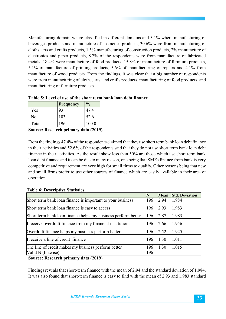Manufacturing domain where classified in different domains and 3.1% where manufacturing of beverages products and manufacture of cosmetics products, 30.6% were from manufacturing of cloths, arts and crafts products, 1.5% manufacturing of construction products, 2% manufacture of electronics and paper products, 8.7% of the respondents were from manufacture of fabricated metals, 18.4% were manufacture of food products, 15.8% of manufacture of furniture products, 5.1% of manufacture of printing products, 5.6% of manufacturing of repairs and 4.1% from manufacture of wood products. From the findings, it was clear that a big number of respondents were from manufacturing of cloths, arts, and crafts products, manufacturing of food products, and manufacturing of furniture products

|       | <b>Frequency</b> | $\frac{1}{2}$ |
|-------|------------------|---------------|
| Yes   | 93               | 47.4          |
| No    | 103              | 52.6          |
| Total | 196              | 100.0         |

**Table 5: Level of use of the short term bank loan debt finance** 

**Source: Research primary data (2019)**

From the findings 47.4% of the respondents claimed that they use short term bank loan debt finance in their activities and 52.6% of the respondents said that they do not use short term bank loan debt finance in their activities. As the result show less than 50% are those which use short term bank loan debt finance and it can be due to many reason, one being that SMEs finance from bank is very competitive and requirement are very high for small firms to qualify. Other reasons being that new and small firms prefer to use other sources of finance which are easily available in their area of operation.

|                                                               | N   | <b>Mean</b> | <b>Std. Deviation</b> |
|---------------------------------------------------------------|-----|-------------|-----------------------|
| Short term bank loan finance is important to your business    | 196 | 2.94        | 1.984                 |
| Short term bank loan finance is easy to access                | 196 | 2.93        | 1.983                 |
| Short term bank loan finance helps my business perform better | 196 | 2.87        | 1.983                 |
| I receive overdraft finance from my financial institutions    | 196 | 2.66        | 1.956                 |
| Overdraft finance helps my business perform better            | 196 | 2.52        | 1.925                 |
| I receive a line of credit finance                            | 196 | 1.30        | 1.011                 |
| The line of credit makes my business perform better           | 196 | 1.30        | 1.015                 |
| Valid N (listwise)                                            | 196 |             |                       |

#### **Table 6: Descriptive Statistics**

**Source: Research primary data (2019)**

Findings reveals that short-term finance with the mean of 2.94 and the standard deviation of 1.984. It was also found that short-term finance is easy to find with the mean of 2.93 and 1.983 standard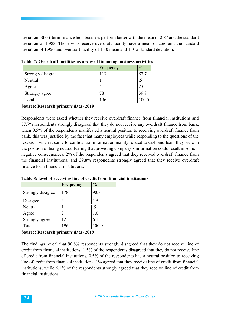deviation. Short-term finance help business perform better with the mean of 2.87 and the standard deviation of 1.983. Those who receive overdraft facility have a mean of 2.66 and the standard deviation of 1.956 and overdraft facility of 1.30 mean and 1.015 standard deviation.

|                   | Frequency | $\frac{0}{0}$ |
|-------------------|-----------|---------------|
| Strongly disagree | 113       | 57.7          |
| Neutral           |           | د.            |
| Agree             |           | 2.0           |
| Strongly agree    | 78        | 39.8          |
| Total             | 196       | 100.0         |

**Table 7: Overdraft facilities as a way of financing business activities**

**Source: Research primary data (2019)**

Respondents were asked whether they receive overdraft finance from financial institutions and 57.7% respondents strongly disagreed that they do not receive any overdraft finance from bank, when 0.5% of the respondents manifested a neutral position to receiving overdraft finance from bank, this was justified by the fact that many employees while responding to the questions of the research, when it came to confidential information mainly related to cash and loan, they were in the position of being neutral fearing that providing company's information could result in some negative consequences. 2% of the respondents agreed that they received overdraft finance from the financial institutions, and 39.8% respondents strongly agreed that they receive overdraft finance form financial institutions.

|                   | <b>Frequency</b> | $\frac{0}{0}$ |
|-------------------|------------------|---------------|
| Strongly disagree | 178              | 90.8          |
| Disagree          | 3                | 1.5           |
| Neutral           |                  | $.5\,$        |
| Agree             | 2                | $1.0\,$       |
| Strongly agree    | 12               | 6.1           |
| Total             | 196              | 100.0         |

**Table 8: level of receiving line of credit from financial institutions**

**Source: Research primary data (2019)**

The findings reveal that 90.8% respondents strongly disagreed that they do not receive line of credit from financial institutions, 1.5% of the respondents disagreed that they do not receive line of credit from financial institutions, 0.5% of the respondents had a neutral position to receiving line of credit from financial institutions, 1% agreed that they receive line of credit from financial institutions, while 6.1% of the respondents strongly agreed that they receive line of credit from financial institutions.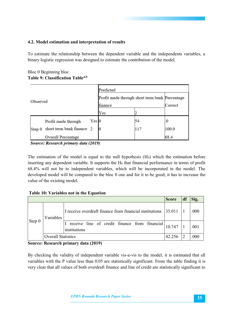#### **4.2. Model estimation and interpretation of results**

To estimate the relationship between the dependent variable and the independents variables, a binary logistic regression was designed to estimate the contribution of the model.

#### Bloc 0 Beginning bloc **Table 9: Classification Tablea,b**

|          |                           |                                                | Predicted |         |       |  |  |
|----------|---------------------------|------------------------------------------------|-----------|---------|-------|--|--|
| Observed |                           | Profit made through short term bank Percentage |           |         |       |  |  |
|          |                           | finance                                        |           | Correct |       |  |  |
|          |                           |                                                | Yes       |         |       |  |  |
|          | Profit made through       | Yes 0                                          |           | 54      | 0     |  |  |
| Step 0   | short term bank finance 2 |                                                |           |         | 100.0 |  |  |
|          | Overall Percentage        |                                                |           |         | 68.4  |  |  |

Source: Research primary data (2019)

The estimation of the model is equal to the null hypothesis  $(H<sub>0</sub>)$  which the estimation before inserting any dependent variable. It supports the  $H_0$  that financial performance in terms of profit 68.4% will not be to independent variables, which will be incorporated in the model. The developed model will be compared to the bloc 0 one and for it to be good; it has to increase the value of the existing model.

#### **Table 10: Variables not in the Equation**

|          |                           |                                                               | <b>Score</b> | df | Sig. |
|----------|---------------------------|---------------------------------------------------------------|--------------|----|------|
| Step $0$ | Variables                 | I receive overdraft finance from financial institutions       | 35.011       |    | .000 |
|          |                           | receive line of credit finance from financial<br>institutions | 10.747       |    | .001 |
|          | <b>Overall Statistics</b> |                                                               | 42.256       |    | .000 |

#### **Source: Research primary data (2019)**

By checking the validity of independent variable vis-a-vis to the model, it is estimated that all variables with the P value less than 0.05 are statistically significant. From the table finding it is very clear that all values of both overdraft finance and line of credit are statistically significant to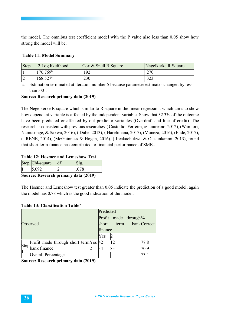the model. The omnibus test coefficient model with the P value also less than 0.05 show how strong the model will be.

# **Table 11: Model Summary**

| Step | -2 Log likelihood      | $\cos \&$ Snell R Square | Nagelkerke R Square |
|------|------------------------|--------------------------|---------------------|
|      | $176.769^{\circ}$      | .192                     | .270                |
|      | $168.527$ <sup>a</sup> | .230                     | າາາ<br>: 22.        |

a. Estimation terminated at iteration number 5 because parameter estimates changed by less than .001.

# **Source: Research primary data (2019)**

The Negelkerke R square which similar to R square in the linear regression, which aims to show how dependent variable is affected by the independent variable. Show that 32.3% of the outcome have been predicted or affected by out predictor variables (Overdraft and line of credit). The research is consistent with previous researches ( Custodio, Ferreira, & Laureano, 2012), (Wamiori, Namusonge, & Sakwa, 2016), ( Dube, 2013), ( Harelimana, 2017), (Muneza, 2016), (Ende, 2017), ( IRENE, 2014), (McGuinness & Hogan, 2016), ( Ifeakachukwu & Olasunkanmi, 2013), found that short term finance has contributed to financial performance of SMEs.

### **Table 12: Hosmer and Lemeshow Test**

|        | Step Chi-square |                                    |
|--------|-----------------|------------------------------------|
|        | $-092$          |                                    |
| $\sim$ |                 | $\sim$ $\sim$ $\sim$ $\sim$ $\sim$ |

**Source: Research primary data (2019)**

The Hosmer and Lemeshow test greater than 0.05 indicate the prediction of a good model, again the model has 0.78 which is the good indication of the model.

# **Table 13: Classification Table<sup>a</sup>**

|    |                                       | Predicted |     |                                  |                  |      |
|----|---------------------------------------|-----------|-----|----------------------------------|------------------|------|
|    |                                       |           |     | Profit made through <sup>o</sup> |                  |      |
|    | Observed<br>short                     |           |     |                                  | term bankCorrect |      |
|    |                                       |           |     | finance                          |                  |      |
|    |                                       |           | Yes |                                  |                  |      |
|    | Profit made through short term Yes 42 |           |     | 12                               |                  | 77.8 |
| 11 | Step <sub>bank</sub> finance          |           | 34  | 83                               |                  | 70.9 |
|    | Overall Percentage                    |           |     |                                  |                  |      |

**Source: Research primary data (2019)**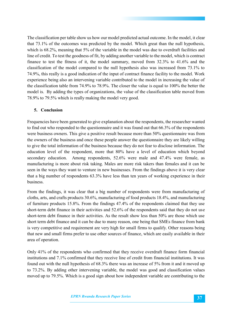The classification per table show us how our model predicted actual outcome. In the model, it clear that 73.1% of the outcomes was predicted by the model. Which great than the null hypothesis, which is 68.2%, meaning that 5% of the variable in the model was due to overdraft facilities and line of credit. To test the goodness of fit, by adding another variable to the model, which is contract finance to test the fitness of it, the model summary, moved from 32.3% to 41.6% and the classification of the model compared to the null hypothesis also was increased from 73.1% to 74.9%, this really is a good indication of the input of contract finance facility to the model. Work experience being also an intervening variable contributed to the model in increasing the value of the classification table from 74.9% to 78.9%. The closer the value is equal to 100% the better the model is. By adding the types of organizations, the value of the classification table moved from 78.9% to 79.5% which is really making the model very good.

# **5. Conclusion**

Frequencies have been generated to give explanation about the respondents, the researcher wanted to find out who responded to the questionnaire and it was found out that 66.3% of the respondents were business owners. This give a positive result because more than 50% questionnaire was from the owners of the business and once these people answer the questionnaire they are likely willing to give the total information of the business because they do not fear to disclose information. The education level of the respondent, more that 80% have a level of education which beyond secondary education. Among respondents, 52.6% were male and 47.4% were female, as manufacturing is more about risk taking. Males are more risk takers than females and it can be seen in the ways they want to venture in new businesses. From the findings above it is very clear that a big number of respondents 63.3% have less than ten years of working experience in their business.

From the findings, it was clear that a big number of respondents were from manufacturing of cloths, arts, and crafts products 30.6%, manufacturing of food products 18.4%, and manufacturing of furniture products 15.8%. From the findings 47.4% of the respondents claimed that they use short-term debt finance in their activities and 52.6% of the respondents said that they do not use short-term debt finance in their activities. As the result show less than 50% are those which use short term debt finance and it can be due to many reason, one being that SMEs finance from bank is very competitive and requirement are very high for small firms to qualify. Other reasons being that new and small firms prefer to use other sources of finance, which are easily available in their area of operation.

Only 41% of the respondents who confirmed that they receive overdraft finance form financial institutions and 7.1% confirmed that they receive line of credit from financial institutions. It was found out with the null hypothesis of 68.3% there was an increase of 5% from it and it moved up to 73.2%. By adding other intervening variable, the model was good and classification values moved up to 79.5%. Which is a good sign about how independent variable are contributing to the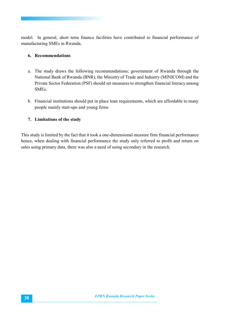model. In general, short term finance facilities have contributed to financial performance of manufacturing SMEs in Rwanda.

# **6. Recommendations**

- a. The study draws the following recommendations; government of Rwanda through the National Bank of Rwanda (BNR), the Ministry of Trade and Industry (MINICOM) and the Private Sector Federation (PSF) should set measures to strengthen financial literacy among SMEs.
- b. Financial institutions should put in place loan requirements, which are affordable to many people mainly start-ups and young firms

# **7. Limitations of the study**

This study is limited by the fact that it took a one-dimensional measure firm financial performance hence, when dealing with financial performance the study only referred to profit and return on sales using primary data, there was also a need of using secondary in the research.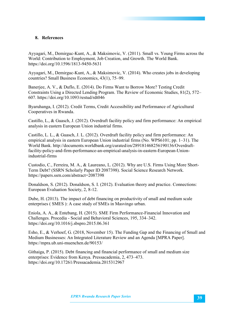### **8. References**

Ayyagari, M., Demirguc-Kunt, A., & Maksimovic, V. (2011). Small vs. Young Firms across the World: Contribution to Employment, Job Creation, and Growth. The World Bank. https://doi.org/10.1596/1813-9450-5631

Ayyagari, M., Demirguc-Kunt, A., & Maksimovic, V. (2014). Who creates jobs in developing countries? Small Business Economics, 43(1), 75–99.

Banerjee, A. V., & Duflo, E. (2014). Do Firms Want to Borrow More? Testing Credit Constraints Using a Directed Lending Program. The Review of Economic Studies, 81(2), 572– 607. https://doi.org/10.1093/restud/rdt046

Byaruhanga, I. (2012). Credit Terms, Credit Accessibility and Performance of Agricultural Cooperatives in Rwanda.

Castillo, L., & Guasch, J. (2012). Overdraft facility policy and firm performance: An empirical analysis in eastern European Union industrial firms.

Castillo, L. L., & Guasch, J. L. (2012). Overdraft facility policy and firm performance: An empirical analysis in eastern European Union industrial firms (No. WPS6101; pp. 1–31). The World Bank. http://documents.worldbank.org/curated/en/289181468256190136/Overdraftfacility-policy-and-firm-performance-an-empirical-analysis-in-eastern-European-Unionindustrial-firms

Custodio, C., Ferreira, M. A., & Laureano, L. (2012). Why are U.S. Firms Using More Short-Term Debt? (SSRN Scholarly Paper ID 2087398). Social Science Research Network. https://papers.ssrn.com/abstract=2087398

Donaldson, S. (2012). Donaldson, S. I. (2012). Evaluation theory and practice. Connections: European Evaluation Society, 2, 8-12.

Dube, H. (2013). The impact of debt financing on productivity of small and medium scale enterprises ( SMES ): A case study of SMEs in Masvingo urban.

Eniola, A. A., & Entebang, H. (2015). SME Firm Performance-Financial Innovation and Challenges. Procedia - Social and Behavioral Sciences, 195, 334–342. https://doi.org/10.1016/j.sbspro.2015.06.361

Esho, E., & Verhoef, G. (2018, November 15). The Funding Gap and the Financing of Small and Medium Businesses: An Integrated Literature Review and an Agenda [MPRA Paper]. https://mpra.ub.uni-muenchen.de/90153/

Githaiga, P. (2015). Debt financing and financial performance of small and medium size enterprises: Evidence from Kenya. Pressacademia, 2, 473–473. https://doi.org/10.17261/Pressacademia.2015312967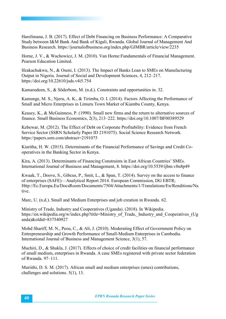Harelimana, J. B. (2017). Effect of Debt Financing on Business Performance: A Comparative Study between I&M Bank And Bank of Kigali, Rwanda. Global Journal of Management And Business Research. https://journalofbusiness.org/index.php/GJMBR/article/view/2235

Horne, J. V., & Wachowicz, J. M. (2010). Van Horne:Fundamentals of Financial Management. Pearson Education Limited.

Ifeakachukwu, N., & Oseni, I. (2013). The Impact of Banks Loan to SMEs on Manufacturing Output in Nigeria. Journal of Social and Development Sciences, 4, 212–217. https://doi.org/10.22610/jsds.v4i5.754

Kamarudeen, S., & Söderbom, M. (n.d.). Constraints and opportunities in. 32.

Kamunge, M. S., Njeru, A. K., & Tirimba, O. I. (2014). Factors Affecting the Performance of Small and Micro Enterprises in Limuru Town Market of Kiambu County, Kenya.

Keasey, K., & McGuinness, P. (1990). Small new firms and the return to alternative sources of finance. Small Business Economics, 2(3), 213–222. https://doi.org/10.1007/BF00389529

Kebewar, M. (2012). The Effect of Debt on Corporate Profitability: Evidence from French Service Sector (SSRN Scholarly Paper ID 2191075). Social Science Research Network. https://papers.ssrn.com/abstract=2191075

Kiaritha, H. W. (2015). Determinants of the Financial Performance of Savings and Credit Cooperatives in the Banking Sector in Kenya.

Kira, A. (2013). Determinants of Financing Constraints in East African Countries' SMEs. International Journal of Business and Management, 8. https://doi.org/10.5539/ijbm.v8n8p49

Kwaak, T., Doove, S., Gibcus, P., Smit, L., & Span, T. (2014). Survey on the access to finance of enterprises (SAFE)—Analytical Report 2014. European Commission, DG EBTR; Http://Ec.Europa.Eu/DocsRoom/Documents/7504/Attachments/1/Translations/En/Renditions/Na tive.

Marc, U. (n.d.). Small and Medium Enterprises and job creation in Rwanda. 62.

Ministry of Trade, Industry and Cooperatives (Uganda). (2018). In Wikipedia. https://en.wikipedia.org/w/index.php?title=Ministry\_of\_Trade,\_Industry\_and\_Cooperatives\_(Ug anda)&oldid=837540927

Mohd Shariff, M. N., Peou, C., & Ali, J. (2010). Moderating Effect of Government Policy on Entrepreneurship and Growth Performance of Small-Medium Enterprises in Cambodia. International Journal of Business and Management Science, 3(1), 57.

Muchiri, D., & Shukla, J. (2017). Effects of choice of credit facilities on financial performance of small medium, enterprises in Rwanda. A case SMEs registered with private sector federation of Rwanda. 97–111.

Muriithi, D. S. M. (2017). African small and medium enterprises (smes) contributions, challenges and solutions. 5(1), 13.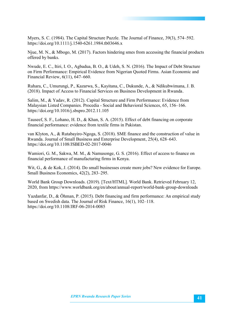Myers, S. C. (1984). The Capital Structure Puzzle. The Journal of Finance, 39(3), 574–592. https://doi.org/10.1111/j.1540-6261.1984.tb03646.x

Njue, M. N., & Mbogo, M. (2017). Factors hindering smes from accessing the financial products offered by banks.

Nwude, E. C., Itiri, I. O., Agbadua, B. O., & Udeh, S. N. (2016). The Impact of Debt Structure on Firm Performance: Empirical Evidence from Nigerian Quoted Firms. Asian Economic and Financial Review, 6(11), 647–660.

Ruhara, C., Umurungi, P., Kazarwa, S., Kayitana, C., Dukunde, A., & Ndikubwimana, J. B. (2018). Impact of Access to Financial Services on Business Development in Rwanda.

Salim, M., & Yadav, R. (2012). Capital Structure and Firm Performance: Evidence from Malaysian Listed Companies. Procedia - Social and Behavioral Sciences, 65, 156–166. https://doi.org/10.1016/j.sbspro.2012.11.105

Tauseef, S. F., Lohano, H. D., & Khan, S. A. (2015). Effect of debt financing on corporate financial performance: evidence from textile firms in Pakistan.

van Klyton, A., & Rutabayiro-Ngoga, S. (2018). SME finance and the construction of value in Rwanda. Journal of Small Business and Enterprise Development, 25(4), 628–643. https://doi.org/10.1108/JSBED-02-2017-0046

Wamiori, G. M., Sakwa, M. M., & Namusonge, G. S. (2016). Effect of access to finance on financial performance of manufacturing firms in Kenya.

Wit, G., & de Kok, J. (2014). Do small businesses create more jobs? New evidence for Europe. Small Business Economics, 42(2), 283–295.

World Bank Group Downloads. (2019). [Text/HTML]. World Bank. Retrieved February 12, 2020, from https://www.worldbank.org/en/about/annual-report/world-bank-group-downloads

Yazdanfar, D., & Öhman, P. (2015). Debt financing and firm performance: An empirical study based on Swedish data. The Journal of Risk Finance, 16(1), 102–118. https://doi.org/10.1108/JRF-06-2014-0085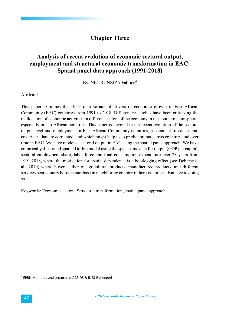# **Chapter Three**

# **Analysis of recent evolution of economic sectoral output, employment and structural economic transformation in EAC: Spatial panel data approach (1991-2018)**

By: NKURUNZIZA Fabrice<sup>4</sup>

#### **Abstract**

This paper examines the effect of a variate of drivers of economic growth in East African Community (EAC) countries from 1991 to 2018. Different researches have been criticizing the reallocation of economic activities in different sectors of the economy in the southern hemisphere, especially in sub-African countries. This paper is devoted to the recent evolution of the sectoral output level and employment in East African Community countries, assessment of causes and covariates that are correlated, and which might help us to predict output across countries and over time in EAC. We have modeled sectoral output in EAC using the spatial panel approach. We have empirically illustrated spatial Durbin model using the space-time data for output (GDP per capita), sectoral employment share, labor force and final consumption expenditure over 28 years from 1991-2018, where the motivation for spatial dependence is a bootlegging effect (see Debarsy et al., 2010) where buyers either of agricultural products, manufactured products, and different services near country borders purchase in neighboring country if there is a price advantage to doing so.

Keywords: Economic sectors, Structural transformation, spatial panel approach

 <sup>4</sup> EPRN Members and Lecturer at ACE-DS & INES-Ruhengeri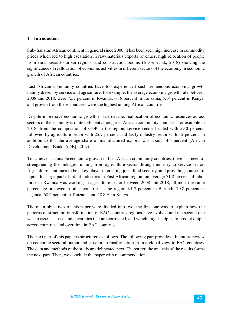### **1. Introduction**

Sub- Saharan African continent in general since 2000, it has been seen high increase in commodity prices which led to high escalation in raw-materials exports revenues, high relocation of people from rural areas to urban regions, and construction booms (Busse et al., 2018) showing the significance of reallocation of economic activities in different sectors of the economy in economic growth of African countries.

East African community countries have too experienced such tremendous economic growth mainly driven by service and agriculture, for example, the average economic growth rate between 2008 and 2018, were 7.57 percent in Rwanda, 6.18 percent in Tanzania, 5.14 percent in Kenya, and growth from these countries were the highest among African countries.

Despite impressive economic growth in last decade, reallocation of economic resources across sectors of the economy is quite deficient among east African community countries, for example in 2018, from the composition of GDP in the region, service sector headed with 59.0 percent, followed by agriculture sector with 25.7 percent, and lastly industry sector with 15 percent, in addition to this the average share of manufactured exports was about 14.6 percent (African Development Bank [ADB], 2019).

To achieve sustainable economic growth in East African community countries, there is a need of strengthening the linkages running from agriculture sector through industry to service sector, Agriculture continues to be a key player in creating jobs, food security, and providing sources of inputs for large part of infant industries in East African region, on average 71.8 percent of labor force in Rwanda was working in agriculture sector between 2008 and 2018, all most the same percentage or lower in other countries in the region, 91.7 percent in Burundi, 70.8 percent in Uganda, 68.6 percent in Tanzania and 58.8 % in Kenya.

The main objectives of this paper were divided into two; the first one was to explain how the patterns of structural transformation in EAC countries regions have evolved and the second one was to assess causes and covariates that are correlated, and which might help us to predict output across countries and over time in EAC countries.

The next part of this paper is structured as follows. The following part provides a literature review on economic sectoral output and structural transformation from a global view to EAC countries. The data and methods of the study are delineated next. Thereafter, the analysis of the results forms the next part. Then, we conclude the paper with recommendations.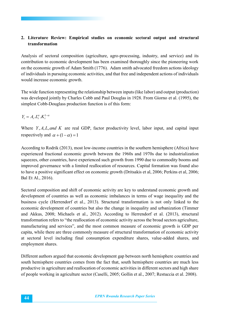# **2. Literature Review: Empirical studies on economic sectoral output and structural transformation**

Analysis of sectoral composition (agriculture, agro-processing, industry, and service) and its contribution to economic development has been examined thoroughly since the pioneering work on the economic growth of Adam Smith (1776). Adam smith advocated freedom actions ideology of individuals in pursuing economic activities, and that free and independent actions of individuals would increase economic growth.

The wide function representing the relationship between inputs (like labor) and output (production) was developed jointly by Charles Cobb and Paul Douglas in 1928. From Giorno et al. (1995), the simplest Cobb-Douglass production function is of this form:

 $Y_{t} = A_{t}.L_{t}^{\alpha}.K_{t}^{1-\alpha}$ 

Where *Y*, *A*,*L*,*and K* are real GDP, factor productivity level, labor input, and capital input respectively and  $\alpha + (1 - \alpha) = 1$ 

According to Rodrik (2013), most low-income countries in the southern hemisphere (Africa) have experienced fractional economic growth between the 1960s and 1970s due to industrialization squeezes, other countries, have experienced such growth from 1990 due to commodity booms and improved governance with a limited reallocation of resources. Capital formation was found also to have a positive significant effect on economic growth (Dritsakis et al, 2006; Perkins et al, 2006; Bal Et Al., 2016).

Sectoral composition and shift of economic activity are key to understand economic growth and development of countries as well as economic imbalances in terms of wage inequality and the business cycle (Herrendorf et al., 2013). Structural transformation is not only linked to the economic development of countries but also the change in inequality and urbanization (Timmer and Akkus, 2008; Michaels et al., 2012). According to Herrendorf et al. (2013), structural transformation refers to "the reallocation of economic activity across the broad sectors agriculture, manufacturing and services", and the most common measure of economic growth is GDP per capita, while there are three commonly measure of structural transformation of economic activity at sectoral level including final consumption expenditure shares, value-added shares, and employment shares.

Different authors argued that economic development gap between north hemisphere countries and south hemisphere countries comes from the fact that, south hemisphere countries are much less productive in agriculture and reallocation of economic activities in different sectors and high share of people working in agriculture sector (Caselli, 2005; Gollin et al., 2007; Restuccia et al. 2008).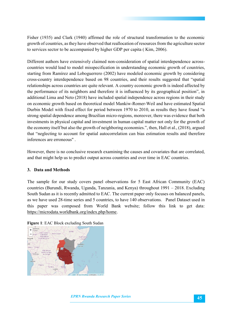Fisher (1935) and Clark (1940) affirmed the role of structural transformation to the economic growth of countries, as they have observed that reallocation of resources from the agriculture sector to services sector to be accompanied by higher GDP per capita ( Kim, 2006).

Different authors have extensively claimed non-consideration of spatial interdependence acrosscountries would lead to model misspecification in understanding economic growth of countries, starting from Ramírez and Loboguerrero (2002) have modeled economic growth by considering cross-country interdependence based on 98 countries, and their results suggested that "spatial relationships across countries are quite relevant. A country economic growth is indeed affected by the performance of its neighbors and therefore it is influenced by its geographical position", in additional Lima and Neto (2018) have included spatial independence across regions in their study on economic growth based on theoretical model Mankiw-Romer-Weil and have estimated Spatial Durbin Model with fixed effect for period between 1970 to 2010, as results they have found "a strong spatial dependence among Brazilian micro-regions, moreover, there was evidence that both investments in physical capital and investment in human capital matter not only for the growth of the economy itself but also the growth of neighboring economies.", then, Hall et al., (2018), argued that "neglecting to account for spatial autocorrelation can bias estimation results and therefore inferences are erroneous" .

However, there is no conclusive research examining the causes and covariates that are correlated, and that might help us to predict output across countries and over time in EAC countries.

# **3. Data and Methods**

The sample for our study covers panel observations for 5 East African Community (EAC) countries (Burundi, Rwanda, Uganda, Tanzania, and Kenya) throughout 1991 – 2018. Excluding South Sudan as it is recently admitted to EAC. The current paper only focuses on balanced panels, as we have used 28-time series and 5 countries, to have 140 observations. Panel Dataset used in this paper was composed from World Bank website; follow this link to get data: https://microdata.worldbank.org/index.php/home.



**Figure 1**: EAC Block excluding South Sudan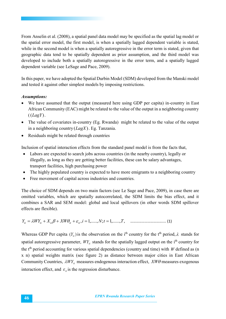From Anselin et al. (2008), a spatial panel data model may be specified as the spatial lag model or the spatial error model, the first model, is when a spatially lagged dependent variable is stated, while in the second model is when a spatially autoregressive in the error term is stated, given that geographic data tend to be spatially dependent as prior assumption, and the third model was developed to include both a spatially autoregressive in the error term, and a spatially lagged dependent variable (see LeSage and Pace, 2009).

In this paper, we have adopted the Spatial Durbin Model (SDM) developed from the Manski model and tested it against other simplest models by imposing restrictions.

# *Assumptions:*

- We have assumed that the output (measured here using GDP per capita) in-country in East African Community (EAC) might be related to the value of the output in a neighboring country ((*LagY*).
- The value of covariates in-country (Eg. Rwanda) might be related to the value of the output in a neighboring country (*LagX*). Eg. Tanzania.
- Residuals might be related through countries

Inclusion of spatial interaction effects from the standard panel model is from the facts that,

- Labors are expected to search jobs across countries (in the nearby country), legally or illegally, as long as they are getting better facilities, these can be salary advantages, transport facilities, high purchasing power
- The highly populated country is expected to have more emigrants to a neighboring country
- Free movement of capital across industries and countries.

The choice of SDM depends on two main factors (see Le Sage and Pace, 2009), in case there are omitted variables, which are spatially autocorrelated, the SDM limits the bias effect, and it combines a SAR and SEM model: global and local spillovers (in other words SDM spillover effects are flexible).

*Y WY X XW* ,*i* 1,.....,*N*;*t* 1,......,*T*, *ti ti ti ti ti* …………………………….... (1)

Whereas GDP Per capita  $(Y_{ii})$  is the observation on the i<sup>th</sup> country for the t<sup>th</sup> period,  $\lambda$  stands for spatial autoregressive parameter,  $WY_{ti}$  stands for the spatially lagged output on the  $i<sup>th</sup>$  country for the t<sup>th</sup> period accounting for various spatial dependencies (country and time) with *W* defined as (n x n) spatial weights matrix (see figure 2) as distance between major cities in East African Community Countries,  $\lambda WY_{ti}$  measures endogenous interaction effect,  $XW\theta$  measures exogenous interaction effect, and  $\varepsilon$ <sub>*i*</sub> is the regression disturbance.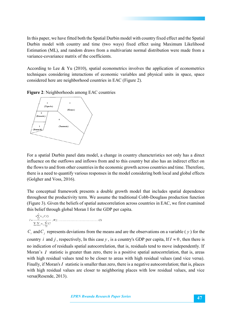In this paper, we have fitted both the Spatial Durbin model with country fixed effect and the Spatial Durbin model with country and time (two ways) fixed effect using Maximum Likelihood Estimation (ML), and random draws from a multivariate normal distribution were made from a variance-covariance matrix of the coefficients.

According to Lee & Yu (2010), spatial econometrics involves the application of econometrics techniques considering interactions of economic variables and physical units in space, space considered here are neighborhood countries in EAC (Figure 2).

**Figure 2**: Neighborhoods among EAC countries



For a spatial Durbin panel data model, a change in country characteristics not only has a direct influence on the outflows and inflows from and to this country but also has an indirect effect on the flows to and from other countries in the economic growth across countries and time. Therefore, there is a need to quantify various responses in the model considering both local and global effects (Golgher and Voss, 2016).

The conceptual framework presents a double growth model that includes spatial dependence throughout the productivity term. We assume the traditional Cobb-Douglass production function (Figure 3). Given the beliefs of spatial autocorrelation across countries in EAC, we first examined this belief through global Moran I for the GDP per capita.

 $C_i$  and  $C_j$  represents deviations from the means and are the observations on a variable ( $y$ ) for the country *i* and *j*, respectively, In this case *y*, is a country's GDP per capita, If  $I \approx 0$ , then there is no indication of residuals spatial autocorrelation, that is, residuals tend to move independently. If Moran's *I* statistic is greater than zero, there is a positive spatial autocorrelation, that is, areas with high residual values tend to be closer to areas with high residual values (and vice versa). Finally, if Moran's *I* statistic is smaller than zero, there is a negative autocorrelation; that is, places with high residual values are closer to neighboring places with low residual values, and vice versa(Resende, 2013).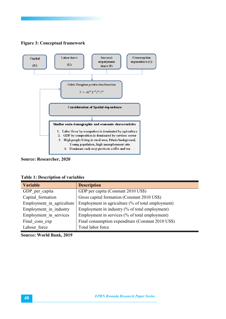

# **Figure 3: Conceptual framework**

**Source: Researcher, 2020** 

|  |  |  | <b>Table 1: Description of variables</b> |
|--|--|--|------------------------------------------|
|--|--|--|------------------------------------------|

| <b>Variable</b>           | <b>Description</b>                                 |  |
|---------------------------|----------------------------------------------------|--|
| GDP per capita            | GDP per capita (Constant 2010 US\$)                |  |
| Capital formation         | Gross capital formation (Constant 2010 US\$)       |  |
| Employment in agriculture | Employment in agriculture (% of total employment)  |  |
| Employment in industry    | Employment in industry (% of total employment)     |  |
| Employment in services    | Employment in services (% of total employment)     |  |
| Final cons exp            | Final consumption expenditure (Constant 2010 US\$) |  |
| Labour force              | Total labor force                                  |  |

**Source: World Bank, 2019**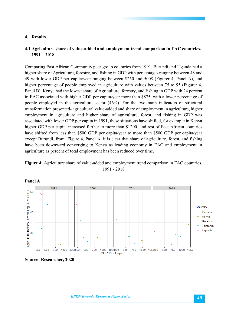#### **4. Results**

# **4.1 Agriculture share of value-added and employment trend comparison in EAC countries, 1991 – 2018**

Comparing East African Community peer group countries from 1991, Burundi and Uganda had a higher share of Agriculture, forestry, and fishing in GDP with percentages ranging between 48 and 49 with lower GDP per capita/year ranging between \$250 and 500\$ (Figurer 4, Panel A), and higher percentage of people employed in agriculture with values between 75 to 95 (Figurer 4, Panel B). Kenya had the lowest share of Agriculture, forestry, and fishing in GDP with 24 percent in EAC associated with higher GDP per capita/year more than \$875, with a lower percentage of people employed in the agriculture sector (46%). For the two main indicators of structural transformation presented- agricultural value-added and share of employment in agriculture, higher employment in agriculture and higher share of agriculture, forest, and fishing in GDP was associated with lower GDP per capita in 1991, these situations have shifted, for example in Kenya higher GDP per capita increased further to more than \$1200, and rest of East African countries have shifted from less than \$500 GDP per capita/year to more than \$500 GDP per capita/year except Burundi, from Figure 4, Panel A, it is clear that share of agriculture, forest, and fishing have been downward converging to Kenya as leading economy in EAC and employment in agriculture as percent of total employment has been reduced over time.





**Source: Researcher, 2020**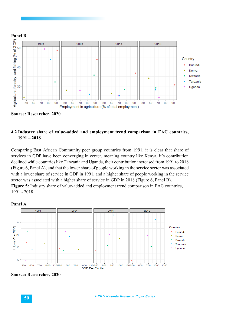

**Source: Researcher, 2020** 

# **4.2 Industry share of value-added and employment trend comparison in EAC countries, 1991 – 2018**

Comparing East African Community peer group countries from 1991, it is clear that share of services in GDP have been converging in center, meaning country like Kenya, it's contribution declined while countries like Tanzania and Uganda, their contribution increased from 1991 to 2018 (Figure 6, Panel A), and that the lower share of people working in the service sector was associated with a lower share of service in GDP in 1991, and a higher share of people working in the service sector was associated with a higher share of service in GDP in 2018 (Figure 6, Panel B). **Figure 5:** Industry share of value-added and employment trend comparison in EAC countries, 1991 - 2018



**Source: Researcher, 2020** 

**50** *EPRN Rwanda Research Paper Series*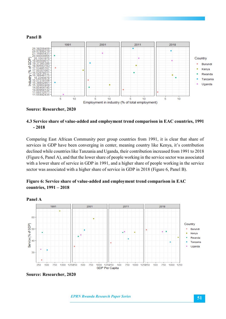

#### **Source: Researcher, 2020**

# **4.3 Service share of value-added and employment trend comparison in EAC countries, 1991 - 2018**

Comparing East African Community peer group countries from 1991, it is clear that share of services in GDP have been converging in center, meaning country like Kenya, it's contribution declined while countries like Tanzania and Uganda, their contribution increased from 1991 to 2018 (Figure 6, Panel A), and that the lower share of people working in the service sector was associated with a lower share of service in GDP in 1991, and a higher share of people working in the service sector was associated with a higher share of service in GDP in 2018 (Figure 6, Panel B).

# **Figure 6: Service share of value-added and employment trend comparison in EAC countries, 1991 – 2018**





**Source: Researcher, 2020**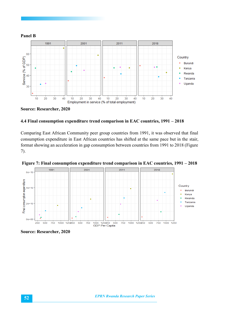

# **Panel B**



### **4.4 Final consumption expenditure trend comparison in EAC countries, 1991 – 2018**

Comparing East African Community peer group countries from 1991, it was observed that final consumption expenditure in East African countries has shifted at the same pace but in the stair, format showing an acceleration in gap consumption between countries from 1991 to 2018 (Figure 7).



**Figure 7: Final consumption expenditure trend comparison in EAC countries, 1991 – 2018**

**Source: Researcher, 2020**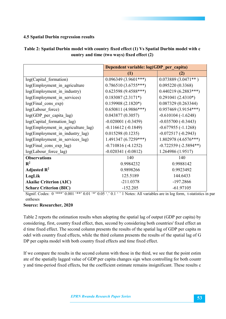# **4.5 Spatial Durbin regression results**

|                                                                                                                          | Dependent variable: log(GDP_per_capita) |                         |  |  |  |
|--------------------------------------------------------------------------------------------------------------------------|-----------------------------------------|-------------------------|--|--|--|
|                                                                                                                          | (1)                                     | (2)                     |  |  |  |
| log(Capital formation)                                                                                                   | $0.096349(3.9601***)$                   | $0.073889(3.0471**)$    |  |  |  |
| log(Employment_in_agriculture                                                                                            | $0.786510(3.6755***)$                   | 0.095220(0.3368)        |  |  |  |
| log(Employment in industry)                                                                                              | $0.623598(9.4588***)$                   | $0.440219(6.2883***)$   |  |  |  |
| log(Employment in services)                                                                                              | $0.183087(2.3171*)$                     | $0.291041(2.4310*)$     |  |  |  |
| log(Final_cons_exp)                                                                                                      | $0.159908(2.1820*)$                     | 0.087329(0.263344)      |  |  |  |
| log(Labour force)                                                                                                        | $0.650811(4.9886***)$                   | $0.957469(3.9154***)$   |  |  |  |
| log(GDP_per_capita_lag)                                                                                                  | 0.043877(0.3057)                        | $-0.610104$ $(-1.6248)$ |  |  |  |
| log(Capital formation lag)                                                                                               | $-0.020001(-0.3459)$                    | $-0.035700(-0.3443)$    |  |  |  |
| log(Employment in agriculture lag)                                                                                       | $-0.116612$ ( $-0.1849$ )               | $-0.677955(-1.1268)$    |  |  |  |
| log(Employment_in_industry_lag)                                                                                          | 0.015298(0.1235)                        | $-0.072517(-0.2943)$    |  |  |  |
| log(Employment in services lag)                                                                                          | $1.491347(6.7259***)$                   | $1.802978(4.6576***)$   |  |  |  |
| log(Final cons exp lag)                                                                                                  | $-0.710816(-4.1252)$                    | $-0.722559(-2.5894**)$  |  |  |  |
| log(Labour_force_lag)                                                                                                    | $-0.020341(-0.0812)$                    | 1.264986 (1.9517)       |  |  |  |
| <b>Observations</b>                                                                                                      | 140                                     | 140                     |  |  |  |
| $\mathbf{R}^2$                                                                                                           | 0.9984232                               | 0.9988142               |  |  |  |
| Adjusted $\mathbb{R}^2$                                                                                                  | 0.9898266                               | 0.9923492               |  |  |  |
| LogLik                                                                                                                   | 125.5189                                | 144.6433                |  |  |  |
| <b>Akaike Criterion (AIC)</b>                                                                                            | $-211.0378$                             | $-197.2866$             |  |  |  |
| <b>Scharz Criterion (BIC)</b>                                                                                            | $-152.205$                              | $-61.97105$             |  |  |  |
| Signif. Codes: 0 '***' 0.001 '**' 0.01 '*' 0.05 '.' 0.1 ' ' 1 Notes: All variables are in log form, t-statistics in part |                                         |                         |  |  |  |
| entheses                                                                                                                 |                                         |                         |  |  |  |

# **Table 2: Spatial Durbin model with country fixed effect (1) Vs Spatial Durbin model with c ountry and time (two ways) fixed effect (2)**

**Source: Researcher, 2020** 

Table 2 reports the estimation results when adopting the spatial lag of output (GDP per capita) by considering, first, country fixed effect, then, second by considering both countries' fixed effect an d time fixed effect. The second column presents the results of the spatial lag of GDP per capita m odel with country fixed effects, while the third column presents the results of the spatial lag of G DP per capita model with both country fixed effects and time fixed effect.

If we compare the results in the second column with those in the third, we see that the point estim ate of the spatially lagged value of GDP per capita changes sign when controlling for both countr y and time-period fixed effects, but the coefficient estimate remains insignificant. These results c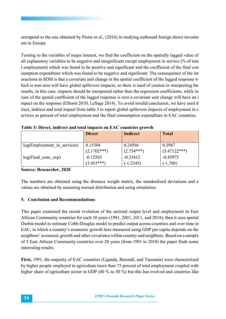orrespond to the one obtained by Pintar et al., (2016) in studying outbound foreign direct investm ent in Europe.

Turning to the variables of major interest, we find the coefficient on the spatially lagged value of all explanatory variables to be negative and insignificant except employment in service (% of tota l employment) which was found to be positive and significant and the coefficient of the final con sumption expenditure which was found to be negative and significant. The consequence of the int eractions in SDM is that a covariate unit change in the spatial coefficient of the lagged response w hich is non-zero will have global spillovers impacts, so there is need of caution in interpreting the results, in this case, impacts should be interpreted rather than the regression coefficients, while in case of the spatial coefficient of the lagged response is zero a covariate unit change will have an i mpact on the response (Elhorst 2010; LeSage 2014). To avoid invalid conclusion, we have used d irect, indirect and total impact from table 3 to report global spillovers impacts of employment in s ervices as percent of total employment and the final consumption expenditure in EAC countries.

|                             | <b>Direct</b> | Indirect     | <b>Total</b>   |
|-----------------------------|---------------|--------------|----------------|
| log(Employment in services) | 0.15304       | 0.24566      | 0.3987         |
|                             | $(2.1702***)$ | $(2.754***)$ | $(5.47122***)$ |
| log(Final cons exp)         | $-0.12563$    | $-0.33412$   | $-0.45975$     |
|                             | $(3.453***)$  | $(-1.2345)$  | $(-1,768)$     |

**Table 3: Direct, indirect and total impacts on EAC countries growth** 

**Source: Researcher, 2020** 

The numbers are obtained using the distance weight matrix, the standardized deviations and z values are obtained by assuming normal distribution and using simulation.

# **5. Conclusion and Recommendations**

This paper examined the recent evolution of the sectoral output level and employment in East African Community countries for each 10 years (1991, 2001, 2011, and 2018), then it uses spatial Durbin model to estimate Cobb-Douglas model to predict output across countries and over time in EAC, in which a country's economic growth here measured using GDP per capita depends on the neighbors' economic growth and other covariates within country and neighbors. Based on a sample of 5 East African Community countries over 28 years (from 1991 to 2018) the paper finds some interesting results.

**First,** 1991, the majority of EAC countries (Uganda, Burundi, and Tanzania) were characterized by higher people employed in agriculture more than 75 percent of total employment coupled with higher share of agriculture sector in GDP (40 % to 50 %) but this has evolved and countries like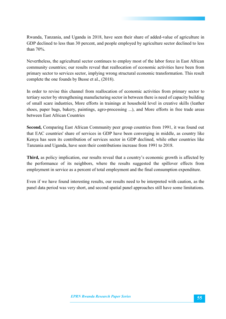Rwanda, Tanzania, and Uganda in 2018, have seen their share of added-value of agriculture in GDP declined to less than 30 percent, and people employed by agriculture sector declined to less than 70%.

Nevertheless, the agricultural sector continues to employ most of the labor force in East African community countries; our results reveal that reallocation of economic activities have been from primary sector to services sector, implying wrong structural economic transformation. This result complete the one founds by Busse et al., (2018).

In order to revise this channel from reallocation of economic activities from primary sector to tertiary sector by strengthening manufacturing sector in between there is need of capacity building of small scare industries, More efforts in trainings at household level in creative skills (leather shoes, paper bags, bakery, paintings, agro-processing ...), and More efforts in free trade areas between East African Countries

**Second,** Comparing East African Community peer group countries from 1991, it was found out that EAC countries' share of services in GDP have been converging in middle, as country like Kenya has seen its contribution of services sector in GDP declined, while other countries like Tanzania and Uganda, have seen their contributions increase from 1991 to 2018.

**Third,** as policy implication, our results reveal that a country's economic growth is affected by the performance of its neighbors, where the results suggested the spillover effects from employment in service as a percent of total employment and the final consumption expenditure.

Even if we have found interesting results, our results need to be interpreted with caution, as the panel data period was very short, and second spatial panel approaches still have some limitations.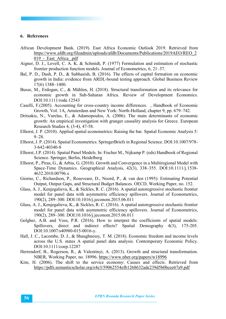#### **6. References**

- African Development Bank. (2019). East Africa Economic Outlook 2019. Retrieved from https://www.afdb.org/fileadmin/uploads/afdb/Documents/Publications/2019AEO/REO\_2 019 - East Africa .pdf
- Aigner, D. J., Lovell, C. A. K. & Schmidt, P. (1977) Formulation and estimation of stochastic frontier production function models. Journal of Econometrics, 6, 21–37.
- Bal, P. D., Dash, P. D., & Subhasish, B. (2016). The effects of capital formation on economic growth in India: evidence from ARDL-bound testing approach. Global Business Review 17(6) 1388–1400.
- Busse, M., Erdogan, C., & Mühlen, H. (2018). Structural transformation and its relevance for economic growth in Sub-Saharan Africa. Review of Development Economics. DOI:10.1111/rode.12543
- Caselli, F.(2005). Accounting for cross-country income differences. , Handbook of Economic Growth, Vol. 1A, Amsterdam and New York: North-Holland, chapter 9, pp. 679–742.
- Dritsakis, N., Varelas, E., & Adamopoulos, A. (2006). The main determinants of economic growth: An empirical investigation with granger causality analysis for Greece. European Research Studies 4, (3-4), 47-58.
- Elhorst, J. P. (2010). Applied spatial econometrics: Raising the bar. Spatial Economic Analysis 5: 9–28.
- Elhorst, J. P. (2014). Spatial Econometrics. SpringerBriefs in Regional Science. DOI:10.1007/978- 3-642-40340-8
- Elhorst, J.P. (2014). Spatial Panel Models. In: Fischer M., Nijkamp P. (eds) Handbook of Regional Science. Springer, Berlin, Heidelberg
- Elhorst, P., Piras, G., & Arbia, G. (2010). Growth and Convergence in a Multiregional Model with Space-Time Dynamics. Geographical Analysis, 42(3), 338–355. DOI:10.1111/j.1538- 4632.2010.00796.x
- Giorno, C., Richardson, P., Roseveare, D., Noord, P., & van den (1995): Estimating Potential Output, Output Gaps, and Structural Budget Balances. OECD, Working Paper, no. 152.
- Glass, A. J., Kenjegalieva, K., & Sickles, R. C. (2016). A spatial autoregressive stochastic frontier model for panel data with asymmetric efficiency spillovers. Journal of Econometrics, 190(2), 289–300. DOI:10.1016/j.jeconom.2015.06.011
- Glass, A. J., Kenjegalieva, K., & Sickles, R. C. (2016). A spatial autoregressive stochastic frontier model for panel data with asymmetric efficiency spillovers. Journal of Econometrics, 190(2), 289–300. DOI:10.1016/j.jeconom.2015.06.011
- Golgher, A.B. and Voss, P.R. (2016). How to interpret the coefficients of spatial models: Spillovers, direct and indirect effects? Spatial Demography 4(3), 175-205. DOI:10.1007/s40980-015-0016-y.
- Hall, J. C., Lacombe, D. J., & Shaughnessy, T. M. (2018). Economic freedom and income levels across the U.S. states A spatial panel data analysis. Contemporary Economic Policy. DOI:10.1111/coep.12287
- Herrendorf, B., Rogerson, R., & Valentinyi, A. (2013). Growth and structural transformation. NBER, Working Paper, no. 18996. https://www.nber.org/papers/w18996
- Kim, H. (2006). The shift to the service economy: Causes and effects. Retrieved from https://pdfs.semanticscholar.org/e4e3/59062554efb1268632ade239d5b0bcee67a9.pdf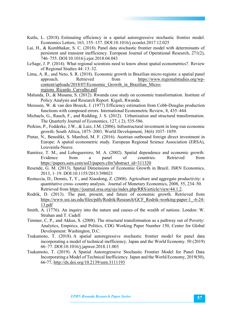- Kutlu, L. (2018). Estimating efficiency in a spatial autoregressive stochastic frontier model. Economics Letters, 163, 155–157. DOI:10.1016/j.econlet.2017.12.025
- Lai, H., & Kumbhakar, S. C. (2018). Panel data stochastic frontier model with determinants of persistent and transient inefficiency. European Journal of Operational Research, 271(2), 746–755. DOI:10.1016/j.ejor.2018.04.043
- LeSage, J. P. (2014). What regional scientists need to know about spatial econometrics?. Review of Regional Studies 44: 13–32.
- Lima, A. R., and Neto, S. R. (2018). Economic growth in Brazilian micro-regions: a spatial panel approach. Retrieved from https://www.regionalstudies.org/wpcontent/uploads/2018/07/Economic\_Growth\_in\_Brazilian\_Microregions\_Ricardo\_Carvalho.pdf
- Malunda, D., & Musana, S. (2012). Rwanda case study on economic transformation. Institute of Policy Analysis and Research Report. Kigali, Rwanda.
- Meeusen, W. & van den Broeck, J. (1977) Efficiency estimation from Cobb-Douglas production functions with composed errors. International Econometric Review, 8, 435–444.
- Michaels, G., Rauch, F., and Redding, J. S. (2012). Urbanization and structural transformation. The Quarterly Journal of Economics, 127, ( 2), 535-586.
- Perkins, P., Fedderke, J.W., & Luiz, J.M. (2006). Infrastructural investment in long-run economic growth: South Africa, 1875–2001. World Development, 34(6) 1037–1059.
- Pintar, N., Benedikt, S. Manfred, M. F. (2016). Austrian outbound foreign direct investment in Europe: A spatial econometric study. European Regional Science Association (ERSA), Louvainla-Neuve.
- Ramírez, T. M., and Loboguerrero, M. A. (2002). Spatial dependence and economic growth: Evidence from a panel of countries. Retrieved from https://papers.ssrn.com/sol3/papers.cfm?abstract\_id=311320
- Resende, G. M. (2013). Spatial Dimensions of Economic Growth in Brazil. ISRN Economics, 2013, 1–19. DOI:10.1155/2013/398021
- Restuccia, D., Dennis, T, Y., and Xiaodong, Z. (2008). Agriculture and aggregate productivity: a quantitative cross–country analysis. Journal of Monetary Economics, 2008, 55, 234–50. Retrieved from https://journal.srsa.org/ojs/index.php/RRS/article/view/44.1.2.
- Rodrik, D. (2013). The past, present, and future of economic growth. Retrieved from https://www.sss.ias.edu/files/pdfs/Rodrik/Research/GCF\_Rodrik-working-paper-1\_-6-24- 13.pdf
- Smith, A. (1776). An inquiry into the nature and causes of the wealth of nations. London: W. Strahan and T. Cadell
- Timmer, C, P., and Akkus, S. (2008). The structural transformation as a pathway out of Poverty: Analytics, Empirics, and Politics, CDG Working Paper Number 150, Center for Global Development: Washington, D.C.
- Tsukamoto, T. (2018). A spatial autoregressive stochastic frontier model for panel data incorporating a model of technical inefficiency. Japan and the World Economy. 50 (2019) 66–77. DOI:10.1016/j.japwor.2018.11.003
- Tsukamoto, T. (2019). A Spatial Autoregressive Stochastic Frontier Model for Panel Data Incorporating a Model of Technical Inefficiency. Japan and the World Economy, 2019(50), 66-77, http://dx.doi.org/10.2139/ssrn.3111193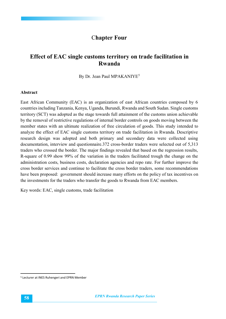# C**hapter Four**

# **Effect of EAC single customs territory on trade facilitation in Rwanda**

By Dr. Jean Paul MPAKANIYE<sup>5</sup>

#### **Abstract**

East African Community (EAC) is an organization of east African countries composed by 6 countries including Tanzania, Kenya, Uganda, Burundi, Rwanda and South Sudan. Single customs territory (SCT) was adopted as the stage towards full attainment of the customs union achievable by the removal of restrictive regulations of internal border controls on goods moving between the member states with an ultimate realization of free circulation of goods. This study intended to analyze the effect of EAC single customs territory on trade facilitation in Rwanda. Descriptive research design was adopted and both primary and secondary data were collected using documentation, interview and questionnaire.372 cross-border traders were selected out of 5,313 traders who crossed the border. The major findings revealed that based on the regression results, R-square of 0.99 show 99% of the variation in the traders facilitated trough the change on the administration costs, business costs, declaration agencies and repo rate. For further improve the cross border services and continue to facilitate the cross border traders, some recommendations have been proposed: government should increase many efforts on the policy of tax incentives on the investments for the traders who transfer the goods to Rwanda from EAC members.

Key words: EAC, single customs, trade facilitation

 <sup>5</sup> Lecturer at INES Ruhengeri and EPRN Member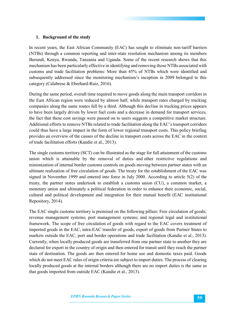### **1. Background of the study**

In recent years, the East African Community (EAC) has sought to eliminate non-tariff barriers (NTBs) through a common reporting and inter-state resolution mechanism among its members Burundi, Kenya, Rwanda, Tanzania and Uganda. Some of the recent research shows that this mechanism has been particularly effective in identifying and removing those NTBs associated with customs and trade facilitation problems: More than 45% of NTBs which were identified and subsequently addressed since the monitoring mechanism's inception in 2009 belonged to this category (Calabrese & Eberhard-Ruiz, 2016).

During the same period, overall time required to move goods along the main transport corridors in the East African region were reduced by almost half, while transport rates charged by trucking companies along the same routes fell by a third. Although this decline in trucking prices appears to have been largely driven by lower fuel costs and a decrease in demand for transport services, the fact that these cost savings were passed on to users suggests a competitive market structure. Additional efforts to remove NTBs related to trade facilitation along the EAC's transport corridors could thus have a large impact in the form of lower regional transport costs. This policy briefing provides an overview of the causes of the decline in transport costs across the EAC in the context of trade facilitation efforts (Kandie et al., 2013).

The single customs territory (SCT) can be illustrated as the stage for full attainment of the customs union which is attainable by the removal of duties and other restrictive regulations and minimization of internal border customs controls on goods moving between partner states with an ultimate realization of free circulation of goods. The treaty for the establishment of the EAC was signed in November 1999 and entered into force in July 2000. According to article 5(2) of the treaty, the partner states undertook to establish a customs union (CU), a common market, a monetary union and ultimately a political federation in order to enhance their economic, social, cultural and political development and integration for their mutual benefit (EAC institutional Repository, 2014).

The EAC single customs territory is premised on the following pillars: Free circulation of goods; revenue management systems; port management systems; and regional legal and institutional framework. The scope of free circulation of goods with regard to the EAC covers treatment of imported goods in the EAC, intra-EAC transfer of goods, export of goods from Partner States to markets outside the EAC, port and border operations and trade facilitation (Kandie et al., 2013). Currently, when locally produced goods are transferred from one partner state to another they are declared for export in the country of origin and then entered for transit until they reach the partner state of destination. The goods are then entered for home use and domestic taxes paid. Goods which do not meet EAC rules of origin criteria are subject to import duties. The process of clearing locally produced goods at the internal borders although there are no import duties is the same as that goods imported from outside EAC (Kandie et al., 2013).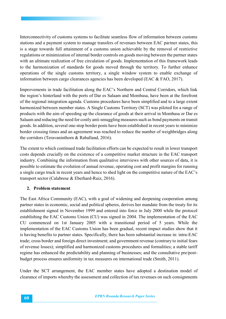Interconnectivity of customs systems to facilitate seamless flow of information between customs stations and a payment system to manage transfers of revenues between EAC partner states, this is a stage towards full attainment of a customs union achievable by the removal of restrictive regulations or minimization of internal border controls on goods moving between the partner states with an ultimate realization of free circulation of goods. Implementation of this framework leads to the harmonization of standards for goods moved through the territory. To further enhance operations of the single customs territory, a single window system to enable exchange of information between cargo clearances agencies has been developed (EAC & FAO, 2017).

Improvements in trade facilitation along the EAC's Northern and Central Corridors, which link the region's hinterland with the ports of Dar es Salaam and Mombasa, have been at the forefront of the regional integration agenda. Customs procedures have been simplified and to a large extent harmonized between member states. A Single Customs Territory (SCT) was piloted for a range of products with the aim of speeding up the clearance of goods at their arrival in Mombasa or Dar es Salaam and reducing the need for costly anti-smuggling measures such as bond payments on transit goods. In addition, several one-stop border posts have been established in recent years to minimize border crossing times and an agreement was reached to reduce the number of weighbridges along the corridors (Teravaninthorn & Raballand, 2016).

The extent to which continued trade facilitation efforts can be expected to result in lower transport costs depends crucially on the existence of a competitive market structure in the EAC transport industry. Combining the information from qualitative interviews with other sources of data, it is possible to estimate the evolution of annual revenue, operating cost and profit margins for running a single cargo truck in recent years and hence to shed light on the competitive nature of the EAC's transport sector (Calabrese & Eberhard-Ruiz, 2016).

# **2. Problem statement**

The East Africa Community (EAC), with a goal of widening and deepening cooperation among partner states in economic, social and political spheres, derives her mandate from the treaty for its establishment signed in November 1999 and entered into force in July 2000 while the protocol establishing the EAC Customs Union (CU) was signed in 2004. The implementation of the EAC CU commenced on 1st January 2005 with a transitional period of 5 years. While the implementation of the EAC Customs Union has been gradual, recent impact studies show that it is having benefits to partner states. Specifically, there has been substantial increase in: intra-EAC trade; cross border and foreign direct investment; and government revenue (contrary to initial fears of revenue losses); simplified and harmonized customs procedures and formalities; a stable tariff regime has enhanced the predictability and planning of businesses; and the consultative pre/postbudget process ensures uniformity in tax measures on international trade (Smith, 2011).

Under the SCT arrangement, the EAC member states have adopted a destination model of clearance of imports whereby the assessment and collection of tax revenues on such consignments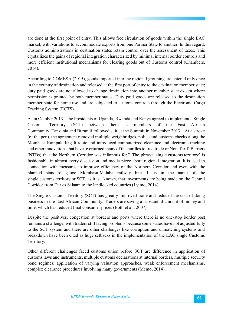are done at the first point of entry. This allows free circulation of goods within the single EAC market, with variations to accommodate exports from one Partner State to another. In this regard, Customs administrations in destination states retain control over the assessment of taxes. This crystallizes the gains of regional integration characterized by minimal internal border controls and more efficient institutional mechanisms for clearing goods out of Customs control (Chambers, 2014).

According to COMESA (2015), goods imported into the regional grouping are entered only once in the country of destination and released at the first port of entry to the destination member state; duty paid goods are not allowed to change destination into another member state except where permission is granted by both member states. Duty paid goods are released to the destination member state for home use and are subjected to customs controls through the Electronic Cargo Tracking System (ECTS).

As in October 2013, the Presidents of Uganda, Rwanda and Kenya agreed to implement a Single Customs Territory (SCT) between them as members of the East African Community. Tanzania and Burundi followed suit at the Summit in November 2013. "At a stroke (of the pen), the agreement removed multiple weighbridges, police and customs checks along the Mombasa-Kampala-Kigali route and introduced computerized clearance and electronic tracking and other innovations that have overturned many of the hurdles to free trade or Non-Tariff Barriers (NTBs) that the Northern Corridor was infamous for." The phrase 'single customs territory' is fashionable in almost every discussion and media piece about regional integration. It is used in connection with measures to improve efficiency of the Northern Corridor and even with the planned standard gauge Mombasa-Malaba railway line. It is in the name of the single customs territory or SCT, as it is known, that investments are being made on the Central Corridor from Dar es Salaam to the landlocked countries (Lyimo, 2014).

The Single Customs Territory (SCT) has greatly improved trade and reduced the cost of doing business in the East African Community. Traders are saving a substantial amount of money and time, which has reduced final consumer prices (Both et al., 2007).

Despite the positives, congestion at borders and ports where there is no one-stop border post remains a challenge, with traders still facing problems because some states have not adjusted fully to the SCT system and there are other challenges like corruption and unmatching systems and breakdown have been cited as huge setbacks in the implementation of the EAC single Customs Territory.

Other different challenges faced customs union before SCT are difference in application of customs laws and instruments, multiple customs declarations at internal borders, multiple security bond regimes, application of varying valuation approaches, weak enforcement mechanisms, complex clearance procedures involving many governments (Memo, 2014).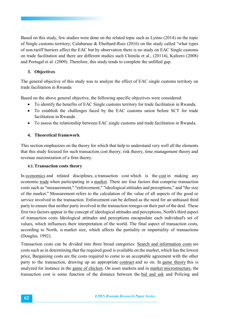Based on this study, few studies were done on the related topic such as Lyimo (2014) on the topic of Single customs territory; Calabarase & Eberhard-Ruiz (2016) on the study called "what types of non-tariff barriers affect the EAC but by observation there is no study on EAC Single customs on trade facilitation and there are different studies such Chimila et al., (20114), Kafeero (2008) and Portugal et al. (2009). Therefore, this study tends to complete the unfilled gap.

# **3. Objectives**

The general objective of this study was to analyze the effect of EAC single customs territory on trade facilitation in Rwanda

Based on the above general objective, the following specific objectives were considered:

- To identify the benefits of EAC Single customs territory for trade facilitation in Rwanda.
- To establish the challenges faced by the EAC customs union before SCT for trade facilitation in Rwanda
- To assess the relationship between EAC single customs and trade facilitation in Rwanda.

# **4. Theoretical framework**

This section emphasizes on the theory for which that help to understand very well all the elements that this study focused for such transaction cost theory, risk theory, time management theory and revenue maximization of a firm theory.

# **4.1.Transaction costs theory**

In economics and related disciplines, a transaction cost which is the cost in making any economic trade when participating in a market. There are four factors that comprise transaction costs such as "measurement," "enforcement," "ideological attitudes and perceptions," and "the size of the market." Measurement refers to the calculation of the value of all aspects of the good or service involved in the transaction. Enforcement can be defined as the need for an unbiased third party to ensure that neither party involved in the transaction reneges on their part of the deal. These first two factors appear in the concept of ideological attitudes and perceptions, North's third aspect of transaction costs. Ideological attitudes and perceptions encapsulate each individual's set of values, which influences their interpretation of the world. The final aspect of transaction costs, according to North, is market size, which affects the partiality or impartiality of transactions (Douglas, 1992).

Transaction costs can be divided into three broad categories: Search and information costs are costs such as in determining that the required good is available on the market, which has the lowest price, Bargaining costs are the costs required to come to an acceptable agreement with the other party to the transaction, drawing up an appropriate contract and so on. In game theory this is analyzed for instance in the game of chicken. On asset markets and in market microstructure, the transaction cost is some function of the distance between the bid and ask and Policing and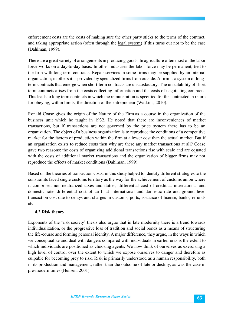enforcement costs are the costs of making sure the other party sticks to the terms of the contract, and taking appropriate action (often through the legal system) if this turns out not to be the case (Dahlman, 1999).

There are a great variety of arrangements in producing goods. In agriculture often most of the labor force works on a day-to-day basis. In other industries the labor force may be permanent, tied to the firm with long-term contracts. Repair services in some firms may be supplied by an internal organization; in others it is provided by specialized firms from outside. A firm is a system of longterm contracts that emerge when short-term contracts are unsatisfactory. The unsuitability of short term contracts arises from the costs collecting information and the costs of negotiating contracts. This leads to long term contracts in which the remuneration is specified for the contracted in return for obeying, within limits, the direction of the entrepreneur (Watkins, 2010).

Ronald Coase gives the origin of the Nature of the Firm as a course in the organization of the business unit which he taught in 1932. He noted that there are inconveniences of market transactions, but if transactions are not governed by the price system there has to be an organization. The object of a business organization is to reproduce the conditions of a competitive market for the factors of production within the firm at a lower cost than the actual market. But if an organization exists to reduce costs then why are there any market transactions at all? Coase gave two reasons: the costs of organizing additional transactions rise with scale and are equated with the costs of additional market transactions and the organization of bigger firms may not reproduce the effects of market conditions (Dahlman, 1999).

Based on the theories of transaction costs, in this study helped to identify different strategies to the constraints faced single customs territory as the way for the achievement of customs union where it comprised non-neutralized taxes and duties, differential cost of credit at international and domestic rate, differential cost of tariff at International and domestic rate and ground level transaction cost due to delays and charges in customs, ports, issuance of license, banks, refunds etc.

# **4.2.Risk theory**

Exponents of the 'risk society' thesis also argue that in late modernity there is a trend towards individualization, or the progressive loss of tradition and social bonds as a means of structuring the life-course and forming personal identity. A major difference, they argue, in the ways in which we conceptualize and deal with dangers compared with individuals in earlier eras is the extent to which individuals are positioned as choosing agents. We now think of ourselves as exercising a high level of control over the extent to which we expose ourselves to danger and therefore as culpable for becoming prey to risk. Risk is primarily understood as a human responsibility, both in its production and management, rather than the outcome of fate or destiny, as was the case in pre-modern times (Hensen, 2001).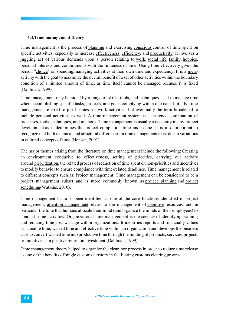#### **4.3.Time management theory**

Time management is the process of planning and exercising conscious control of time spent on specific activities, especially to increase effectiveness, efficiency, and productivity. It involves a juggling act of various demands upon a person relating to work, social life, family, hobbies, personal interests and commitments with the finiteness of time. Using time effectively gives the person "choice" on spending/managing activities at their own time and expediency. It is a metaactivity with the goal to maximize the overall benefit of a set of other activities within the boundary condition of a limited amount of time, as time itself cannot be managed because it is fixed (Dahlman, 1999).

Time management may be aided by a range of skills, tools, and techniques used to manage time when accomplishing specific tasks, projects, and goals complying with a due date. Initially, time management referred to just business or work activities, but eventually the term broadened to include personal activities as well. A time management system is a designed combination of processes, tools, techniques, and methods. Time management is usually a necessity in any project development as it determines the project completion time and scope. It is also important to recognize that both technical and structural differences in time management exist due to variations in cultural concepts of time (Hensen, 2001).

The major themes arising from the literature on time management include the following: Creating an environment conducive to effectiveness, setting of priorities, carrying out activity around prioritization, the related process of reduction of time spent on non-priorities and incentives to modify behavior to ensure compliance with time-related deadlines. Time management is related to different concepts such as: Project management: Time management can be considered to be a project management subset and is more commonly known as project planning and project scheduling(Watkins, 2010).

Time management has also been identified as one of the core functions identified in project management, attention management relates to the management of cognitive resources, and in particular the time that humans allocate their mind (and organize the minds of their employees) to conduct some activities. Organizational time management is the science of identifying, valuing and reducing time cost wastage within organizations. It identifies reports and financially values sustainable time, wasted time and effective time within an organization and develops the business case to convert wasted time into productive time through the funding of products, services, projects or initiatives at a positive return on investment (Dahlman, 1999).

Time management theory helped to organize the clearance process in order to reduce time release as one of the benefits of single customs territory in facilitating customs clearing process.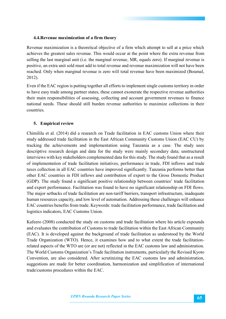### **4.4.Revenue maximization of a firm theory**

Revenue maximization is a theoretical objective of a firm which attempt to sell at a price which achieves the greatest sales revenue. This would occur at the point where the extra revenue from selling the last marginal unit (i.e. the marginal revenue, MR, equals zero). If marginal revenue is positive, an extra unit sold must add to total revenue and revenue maximization will not have been reached. Only when marginal revenue is zero will total revenue have been maximized (Boumal, 2012).

Even if the EAC region is putting together all efforts to implement single customs territory in order to have easy trade among partner states, these cannot exonerate the respective revenue authorities their main responsibilities of assessing, collecting and account government revenues to finance national needs. These should still burden revenue authorities to maximize collections in their countries.

# **5. Empirical review**

Chimilila et al. (2014) did a research on Trade facilitation in EAC customs Union where their study addressed trade facilitation in the East African Community Customs Union (EAC CU) by tracking the achievements and implementation using Tanzania as a case. The study uses descriptive research design and data for the study were mainly secondary data; unstructured interviews with key stakeholders complemented data for this study. The study found that as a result of implementation of trade facilitation initiatives, performance in trade, FDI inflows and trade taxes collection in all EAC countries have improved significantly. Tanzania performs better than other EAC countries in FDI inflows and contribution of export to the Gross Domestic Product (GDP). The study found a significant positive relationship between countries' trade facilitation and export performance. Facilitation was found to have no significant relationship on FDI flows. The major setbacks of trade facilitation are non-tariff barriers, transport infrastructure, inadequate human resources capacity, and low level of automation. Addressing these challenges will enhance EAC countries benefits from trade. Keywords: trade facilitation performance, trade facilitation and logistics indicators, EAC Customs Union.

Kafeero (2008) conducted the study on customs and trade facilitation where his article expounds and evaluates the contribution of Customs to trade facilitation within the East African Community (EAC). It is developed against the background of trade facilitation as understood by the World Trade Organization (WTO). Hence, it examines how and to what extent the trade facilitationrelated aspects of the WTO are (or are not) reflected in the EAC customs law and administration. The World Customs Organization's Trade facilitation instruments, particularly the Revised Kyoto Convention, are also considered. After scrutinizing the EAC customs law and administration, suggestions are made for better coordination, harmonization and simplification of international trade/customs procedures within the EAC.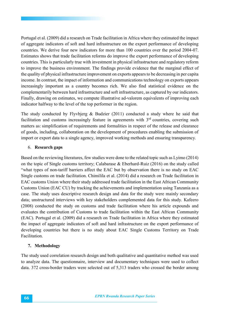Portugal et al. (2009) did a research on Trade facilitation in Africa where they estimated the impact of aggregate indicators of soft and hard infrastructure on the export performance of developing countries. We derive four new indicators for more than 100 countries over the period 2004-07. Estimates shows that trade facilitation reforms do improve the export performance of developing countries. This is particularly true with investment in physical infrastructure and regulatory reform to improve the business environment. The findings provide evidence that the marginal effect of the quality of physical infrastructure improvement on exports appears to be decreasing in per capita income. In contrast, the impact of information and communications technology on exports appears increasingly important as a country becomes rich. We also find statistical evidence on the complementarily between hard infrastructure and soft infrastructure, as captured by our indicators. Finally, drawing on estimates, we compute illustrative ad-valorem equivalents of improving each indicator halfway to the level of the top performer in the region.

The study conducted by Flyvbjerg & Budzier (2011) conducted a study where he said that facilitation and customs increasingly feature in agreements with  $3<sup>rd</sup>$  countries, covering such matters as: simplification of requirements and formalities in respect of the release and clearance of goods, including, collaboration on the development of procedures enabling the submission of import or export data to a single agency, improved working methods and ensuring transparency.

#### 6. **Research gaps**

Based on the reviewing literatures, few studies were done to the related topic such as Lyimo (2014) on the topic of Single customs territory; Calabarase & Eberhard-Ruiz (2016) on the study called "what types of non-tariff barriers affect the EAC but by observation there is no study on EAC Single customs on trade facilitation. Chimilila et al. (2014) did a research on Trade facilitation in EAC customs Union where their study addressed trade facilitation in the East African Community Customs Union (EAC CU) by tracking the achievements and implementation using Tanzania as a case. The study uses descriptive research design and data for the study were mainly secondary data; unstructured interviews with key stakeholders complemented data for this study. Kafeero (2008) conducted the study on customs and trade facilitation where his article expounds and evaluates the contribution of Customs to trade facilitation within the East African Community (EAC). Portugal et al. (2009) did a research on Trade facilitation in Africa where they estimated the impact of aggregate indicators of soft and hard infrastructure on the export performance of developing countries but there is no study about EAC Single Customs Territory on Trade Facilitation.

#### **7. Methodology**

The study used correlation research design and both qualitative and quantitative method was used to analyze data. The questionnaire, interview and documentary techniques were used to collect data. 372 cross-border traders were selected out of 5,313 traders who crossed the border among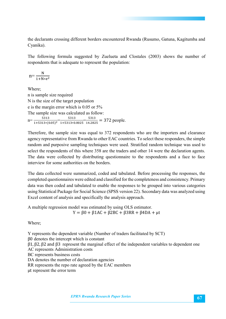the declarants crossing different borders encountered Rwanda (Rusumo, Gatuna, Kagitumba and Cyanika).

The following formula suggested by Zuelueta and Clostales (2003) shows the number of respondents that is adequate to represent the population:

$$
n = \frac{N}{1 + N \ast e^2}
$$

Where; n is sample size required N is the size of the target population e is the margin error which is 0.05 or 5% The sample size was calculated as follow: n=  $\frac{5313}{1+5313*(0.05)^2}$   $\frac{5313}{1+5313*0.0025}$   $\frac{5313}{14.2825}$  = 372 people.

Therefore, the sample size was equal to 372 respondents who are the importers and clearance agency representative from Rwanda to other EAC countries. To select these responders, the simple random and purposive sampling techniques were used. Stratified random technique was used to select the respondents of this where 358 are the traders and other 14 were the declaration agents. The data were collected by distributing questionnaire to the respondents and a face to face interview for some authorities on the borders.

The data collected were summarized, coded and tabulated. Before processing the responses, the completed questionnaires were edited and classified for the completeness and consistency. Primary data was then coded and tabulated to enable the responses to be grouped into various categories using Statistical Package for Social Science (SPSS version 22). Secondary data was analyzed using Excel content of analysis and specifically the analysis approach.

A multiple regression model was estimated by using OLS estimator.  $Y = \beta 0 + \beta 1AC + \beta 2BC + \beta 3RR + \beta 4DA + \mu t$ 

Where;

Y represents the dependent variable (Number of traders facilitated by SCT) β0 denotes the intercept which is constant β1, β2, β2 and β3 represent the marginal effect of the independent variables to dependent one AC represents Administration costs BC represents business costs DA denotes the number of declaration agencies RR represents the repo rate agreed by the EAC members μt represent the error term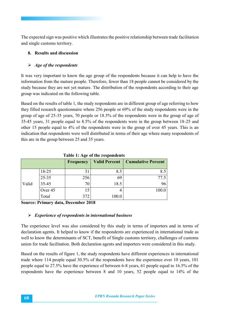The expected sign was positive which illustrates the positive relationship between trade facilitation and single customs territory.

# **8. Results and discussion**

# *Age of the respondents*

It was very important to know the age group of the respondents because it can help to have the information from the mature people. Therefore, fewer than 18 people cannot be considered by the study because they are not yet mature. The distribution of the respondents according to their age group was indicated on the following table.

Based on the results of table 1, the study respondents are in different group of age referring to how they filled research questionnaire where 256 people or 69% of the study respondents were in the group of age of 25-35 years, 70 people or 18.5% of the respondents were in the group of age of 35-45 years, 31 people equal to 8.5% of the respondents were in the group between 18-25 and other 15 people equal to 4% of the respondents were in the group of over 45 years. This is an indication that respondents were well distributed in terms of their age where many respondents of this are in the group between 25 and 35 years.

| Table 1. Age of the respondents |           |           |                      |                           |  |
|---------------------------------|-----------|-----------|----------------------|---------------------------|--|
|                                 |           | Frequency | <b>Valid Percent</b> | <b>Cumulative Percent</b> |  |
|                                 | 18-25     | 31        | 8.5                  | 8.3                       |  |
|                                 | $25 - 35$ | 256       | 69                   | 77.5                      |  |
| Valid                           | $35 - 45$ | 70        | 18.5                 | 96                        |  |
|                                 | Over 45   | 15        |                      |                           |  |
|                                 | Total     |           | 100.0                |                           |  |

**Table 1: Age of the respondents**

**Source: Primary data, December 2018**

# *Experience of respondents in international business*

The experience level was also considered by this study in terms of importers and in terms of declaration agents. It helped to know if the respondents are experienced in international trade as well to know the determinants of SCT, benefit of Single customs territory, challenges of customs union for trade facilitation. Both declaration agents and importers were considered in this study.

Based on the results of figure 1, the study respondents have different experiences in international trade where 114 people equal 30.5% of the respondents have the experience over 10 years, 101 people equal to 27.5% have the experience of between 6-8 years, 61 people equal to 16.5% of the respondents have the experience between 8 and 10 years, 52 people equal to 14% of the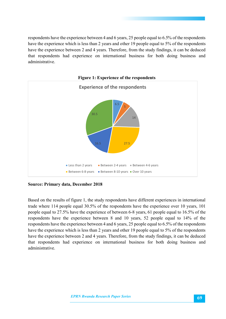respondents have the experience between 4 and 6 years, 25 people equal to 6.5% of the respondents have the experience which is less than 2 years and other 19 people equal to 5% of the respondents have the experience between 2 and 4 years. Therefore, from the study findings, it can be deduced that respondents had experience on international business for both doing business and administrative.



**Source: Primary data, December 2018**

Based on the results of figure 1, the study respondents have different experiences in international trade where 114 people equal 30.5% of the respondents have the experience over 10 years, 101 people equal to 27.5% have the experience of between 6-8 years, 61 people equal to 16.5% of the respondents have the experience between 8 and 10 years, 52 people equal to 14% of the respondents have the experience between 4 and 6 years, 25 people equal to 6.5% of the respondents have the experience which is less than 2 years and other 19 people equal to 5% of the respondents have the experience between 2 and 4 years. Therefore, from the study findings, it can be deduced that respondents had experience on international business for both doing business and administrative.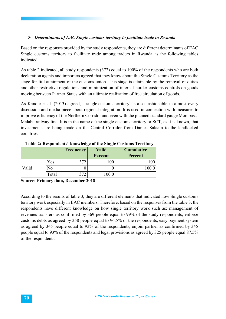# *Determinants of EAC Single customs territory to facilitate trade in Rwanda*

Based on the responses provided by the study respondents, they are different determinants of EAC Single customs territory to facilitate trade among traders in Rwanda as the following tables indicated.

As table 2 indicated, all study respondents (372) equal to 100% of the respondents who are both declaration agents and importers agreed that they know about the Single Customs Territory as the stage for full attainment of the customs union. This stage is attainable by the removal of duties and other restrictive regulations and minimization of internal border customs controls on goods moving between Partner States with an ultimate realization of free circulation of goods.

As Kandie et al. (2013) agreed, a single customs territory' is also fashionable in almost every discussion and media piece about regional integration. It is used in connection with measures to improve efficiency of the Northern Corridor and even with the planned standard gauge Mombasa-Malaba railway line. It is in the name of the single customs territory or SCT, as it is known, that investments are being made on the Central Corridor from Dar es Salaam to the landlocked countries.

|       |       | <b>Frequency</b> | <b>Valid</b> | <b>Cumulative</b> |
|-------|-------|------------------|--------------|-------------------|
|       |       |                  | Percent      | Percent           |
|       | Yes   | 372              | 100          |                   |
| Valid | No    |                  |              |                   |
|       | Total | 372              | 00.0         |                   |

**Table 2: Respondents' knowledge of the Single Customs Territory**

**Source: Primary data, December 2018**

According to the results of table 3, they are different elements that indicated how Single customs territory work especially in EAC members. Therefore, based on the responses from the table 3, the respondents have different knowledge on how single territory work such as: management of revenues transfers as confirmed by 369 people equal to 99% of the study respondents, enforce customs debts as agreed by 358 people equal to 96.5% of the respondents, easy payment system as agreed by 345 people equal to 93% of the respondents, enjoin partner as confirmed by 345 people equal to 93% of the respondents and legal provisions as agreed by 325 people equal 87.5% of the respondents.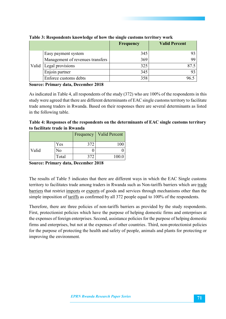|       |                                  | <b>Frequency</b> | <b>Valid Percent</b> |
|-------|----------------------------------|------------------|----------------------|
|       | Easy payment system              | 345              | 93.                  |
| Valid | Management of revenues transfers | 369              | 99.                  |
|       | Legal provisions                 | 325              | 87.5                 |
|       | Enjoin partner                   | 345              | 93                   |
|       | Enforce customs debts            | 358              | 4 (                  |

**Table 3: Respondents knowledge of how the single customs territory work**

**Source: Primary data, December 2018**

As indicated in Table 4, all respondents of the study (372) who are 100% of the respondents in this study were agreed that there are different determinants of EAC single customs territory to facilitate trade among traders in Rwanda. Based on their responses there are several determinants as listed in the following table.

| Table 4: Responses of the respondents on the determinants of EAC single customs territory |  |
|-------------------------------------------------------------------------------------------|--|
| to facilitate trade in Rwanda                                                             |  |

|       |       | <b>Frequency</b> | <b>Valid Percent</b> |
|-------|-------|------------------|----------------------|
|       | Yes   | 372              |                      |
| Valid | No    |                  |                      |
|       | Total | 372              | 100.0                |

**Source: Primary data, December 2018**

The results of Table 5 indicates that there are different ways in which the EAC Single customs territory to facilitates trade among traders in Rwanda such as Non-tariffs barriers which are trade barriers that restrict imports or exports of goods and services through mechanisms other than the simple imposition of tariffs as confirmed by all 372 people equal to 100% of the respondents.

Therefore, there are three policies of non-tariffs barriers as provided by the study respondents. First, protectionist policies which have the purpose of helping domestic firms and enterprises at the expenses of foreign enterprises. Second, assistance policies for the purpose of helping domestic firms and enterprises, but not at the expenses of other countries. Third, non-protectionist policies for the purpose of protecting the health and safety of people, animals and plants for protecting or improving the environment.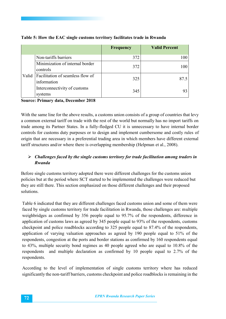|       |                                                 | <b>Frequency</b> | <b>Valid Percent</b> |
|-------|-------------------------------------------------|------------------|----------------------|
| Valid | Non-tariffs barriers                            | 372              | 100 <sup>°</sup>     |
|       | Minimization of internal border<br>controls     | 372              | 100                  |
|       | Facilitation of seamless flow of<br>information | 325              | 87.5                 |
|       | Interconnectivity of customs<br>systems         | 345              |                      |

### **Table 5: How the EAC single customs territory facilitates trade in Rwanda**

**Source: Primary data, December 2018**

With the same line for the above results, a customs union consists of a group of countries that levy a common external tariff on trade with the rest of the world but normally has no import tariffs on trade among its Partner States. In a fully-fledged CU it is unnecessary to have internal border controls for customs duty purposes or to design and implement cumbersome and costly rules of origin that are necessary in a preferential trading area in which members have different external tariff structures and/or where there is overlapping membership (Helpman et al., 2008).

# *Challenges faced by the single customs territory for trade facilitation among traders in Rwanda*

Before single customs territory adopted there were different challenges for the customs union policies but at the period where SCT started to be implemented the challenges were reduced but they are still there. This section emphasized on those different challenges and their proposed solutions.

Table 6 indicated that they are different challenges faced customs union and some of them were faced by single customs territory for trade facilitation in Rwanda, those challenges are: multiple weighbridges as confirmed by 356 people equal to 95.7% of the respondents, difference in application of customs laws as agreed by 345 people equal to 93% of the respondents, customs checkpoint and police roadblocks according to 325 people equal to 87.4% of the respondents, application of varying valuation approaches as agreed by 190 people equal to 51% of the respondents, congestion at the ports and border stations as confirmed by 160 respondents equal to 43%, multiple security bond regimes as 40 people agreed who are equal to 10.8% of the respondents and multiple declaration as confirmed by 10 people equal to 2.7% of the respondents.

According to the level of implementation of single customs territory where has reduced significantly the non-tariff barriers, customs checkpoint and police roadblocks is remaining in the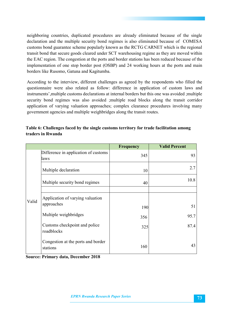neighboring countries, duplicated procedures are already eliminated because of the single declaration and the multiple security bond regimes is also eliminated because of COMESA customs bond guarantee scheme popularly known as the RCTG CARNET which is the regional transit bond that secure goods cleared under SCT warehousing regime as they are moved within the EAC region. The congestion at the ports and border stations has been reduced because of the implementation of one stop border post (OSBP) and 24 working hours at the ports and main borders like Rusomo, Gatuna and Kagitumba.

According to the interview, different challenges as agreed by the respondents who filled the questionnaire were also related as follow: difference in application of custom laws and instruments',multiple customs declarations at internal borders but this one was avoided ;multiple security bond regimes was also avoided ;multiple road blocks along the transit corridor application of varying valuation approaches; complex clearance procedures involving many government agencies and multiple weighbridges along the transit routes.

| Table 6: Challenges faced by the single customs territory for trade facilitation among |
|----------------------------------------------------------------------------------------|
| traders in Rwanda                                                                      |
|                                                                                        |

|       |                                                | <b>Frequency</b> | <b>Valid Percent</b> |
|-------|------------------------------------------------|------------------|----------------------|
| Valid | Difference in application of customs<br>laws   | 345              | 93                   |
|       | Multiple declaration                           | 10               | 2.7                  |
|       | Multiple security bond regimes                 | 40               | 10.8                 |
|       |                                                |                  |                      |
|       | Application of varying valuation               |                  |                      |
|       | approaches                                     | 190              | 51                   |
|       | Multiple weighbridges                          | 356              | 95.7                 |
|       | Customs checkpoint and police<br>roadblocks    | 325              | 87.4                 |
|       | Congestion at the ports and border<br>stations | 160              | 43                   |

**Source: Primary data, December 2018**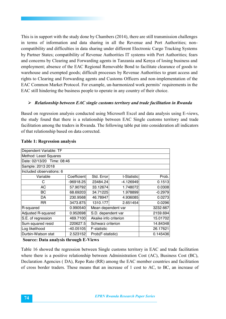This is in support with the study done by Chambers (2014), there are still transmission challenges in terms of information and data sharing in all the Revenue and Port Authorities; noncompatibility and difficulties in data sharing under different Electronic Cargo Tracking Systems by Partner States; compatibility of Revenue Authorities IT systems with Port Authorities; fears and concerns by Clearing and Forwarding agents in Tanzania and Kenya of losing business and employment; absence of the EAC Regional Removable Bond to facilitate clearance of goods to warehouse and exempted goods; difficult processes by Revenue Authorities to grant access and rights to Clearing and Forwarding agents and Customs Officers and non-implementation of the EAC Common Market Protocol. For example, un-harmonized work permits' requirements in the EAC still hindering the business people to operate in any country of their choice.

#### *Relationship between EAC single customs territory and trade facilitation in Rwanda*

Based on regression analysis conducted using Microsoft Excel and data analysis using E-views, the study found that there is a relationship between EAC Single customs territory and trade facilitation among the traders in Rwanda. The following table put into consideration all indicators of that relationship based on data corrected.

| Dependent Variable: TF     |             |                       |             |           |  |  |  |  |
|----------------------------|-------------|-----------------------|-------------|-----------|--|--|--|--|
| Method: Least Squares      |             |                       |             |           |  |  |  |  |
| Date: 02/13/20 Time: 08:46 |             |                       |             |           |  |  |  |  |
| Sample: 2013 2018          |             |                       |             |           |  |  |  |  |
| Included observations: 6   |             |                       |             |           |  |  |  |  |
| Variable                   | Coefficient | Std. Error            | t-Statistic | Prob.     |  |  |  |  |
| С                          | -96918.25   | 23484.24              | -4.126949   | 0.1513    |  |  |  |  |
| <b>AC</b>                  | 57.90792    | 33.12674              | 1.748072    | 0.0308    |  |  |  |  |
| BС                         | 68.69203    | 34.71225              | 1.978899    | $-0.2979$ |  |  |  |  |
| DA                         | 230.9568    | 46.78947              | 4.936085    | 0.0273    |  |  |  |  |
| <b>RR</b>                  | 3473.875    | 1310.177              | 2.651454    | 0.0296    |  |  |  |  |
| R-squared                  | 0.990540    | Mean dependent var    |             | 3232.667  |  |  |  |  |
| Adjusted R-squared         | 0.952698    | S.D. dependent var    |             | 2159.694  |  |  |  |  |
| S.E. of regression         | 469.7100    | Akaike info criterion |             | 15.01702  |  |  |  |  |
| Sum squared resid          | 220627.5    | Schwarz criterion     |             | 14.84348  |  |  |  |  |
| Log likelihood             | $-40.05105$ | F-statistic           |             | 26.17621  |  |  |  |  |
| Durbin-Watson stat         | 2.523152    | Prob(F-statistic)     |             | 0.145436  |  |  |  |  |

#### **Table 1: Regression analysis**

**Source: Data analysis through E-Views** 

Table 16 showed the regression between Single customs territory in EAC and trade facilitation where there is a positive relationship between Administration Cost (AC), Business Cost (BC), Declaration Agencies ( DA), Repo Rate (RR) among the EAC member countries and facilitation of cross border traders. These means that an increase of 1 cost to AC, to BC, an increase of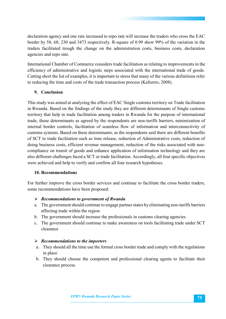declaration agency and one rate increased to repo rate will increase the traders who cross the EAC border by 58; 68; 230 and 3473 respectively. R-square of 0.99 show 99% of the variation in the traders facilitated trough the change on the administration costs, business costs, declaration agencies and repo rate.

International Chamber of Commerce considers trade facilitation as relating to improvements in the efficiency of administrative and logistic steps associated with the international trade of goods. Cutting short the list of examples, it is important to stress that many of the various definitions refer to reducing the time and costs of the trade transaction process (Kafeerro, 2008).

## **9. Conclusion**

This study was aimed at analyzing the effect of EAC Single customs territory on Trade facilitation in Rwanda. Based on the findings of the study they are different determinants of Single customs territory that help in trade facilitation among traders in Rwanda for the purpose of international trade, those determinants as agreed by the respondents are non-tariffs barriers, minimization of internal border controls, facilitation of seamless flow of information and interconnectivity of customs systems. Based on these determinants, as the respondents said there are different benefits of SCT to trade facilitation such as time release, reduction of Administrative costs, reduction of doing business costs, efficient revenue management, reduction of the risks associated with noncompliance on transit of goods and enhance application of information technology and they are also different challenges faced a SCT or trade facilitation. Accordingly, all four specific objectives were achieved and help to verify and confirm all four research hypotheses.

## **10. Recommendations**

For further improve the cross border services and continue to facilitate the cross border traders, some recommendations have been proposed:

## *Recommendations to government of Rwanda*

- a. The government should continue to engage partner states by eliminating non-tariffs barriers affecting trade within the region
- b. The government should increase the professionals in customs clearing agencies
- c. The government should continue to make awareness on tools facilitating trade under SCT clearance

### *Recommendations to the importers*

- a. They should all the time use the formal cross border trade and comply with the regulations in place
- b. They should choose the competent and professional clearing agents to facilitate their clearance process.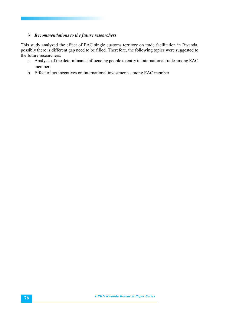#### *Recommendations to the future researchers*

This study analyzed the effect of EAC single customs territory on trade facilitation in Rwanda, possibly there is different gap need to be filled. Therefore, the following topics were suggested to the future researchers:

- a. Analysis of the determinants influencing people to entry in international trade among EAC members
- b. Effect of tax incentives on international investments among EAC member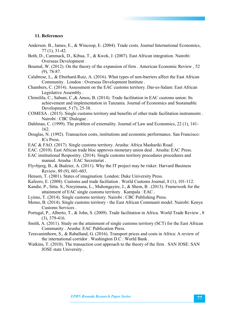#### **11. References**

- Anderson. B., James, E., & Wincoop, E. (2004). Trade costs. Journal International Economics, 77 (1), 31-42.
- Both, D., Cammack, D., Kibua, T., & Kwek, J. (2007). East African integration. Nairobi: Overseas Development .
- Boumal, W. (2012). On the theory of the expansion of firm . American Economic Review , 52 (9), 78-87.
- Calabrese, L., & Eberhard-Ruiz, A. (2016). What types of non-barriers affect the East African Community . London : Overseas Development Institute .
- Chambers, C. (2014). Assessment on the EAC customs territory. Dar-es-Salam: East African Legislative Assembly .
- Chimilila, C., Sabuni, C.,& Amos, B. (2014). Trade facilitation in EAC customs union: Its achievement and implementation in Tanzania. Journal of Economics and Sustainable Development, 5 (7), 25-38.
- COMESA . (2015). Single customs territory and benefits of other trade facilitation instruments . Nairobi : CBC Dialogue .
- Dahlman, C. (1999). The problem of externality. Journal of Law and Economics, 22 (1), 141- 162.
- Douglas, N. (1992). Transaction costs, institutions and economic performance. San Francisco: ICs Press.
- EAC & FAO. (2017). Single customs territory. Arusha: Africa Mashariki Road .
- EAC. (2010). East African trade bloc approves monetary union deal . Arusha: EAC Press. EAC institutional Respositry. (2014). Single customs territory procedures procedures and
- manual. Arusha : EAC Secretariat .
- Flyvbjerg, B., & Budzier, A. (2011). Why the IT project may be risker. Harvard Business Review, 89 (9), 601-603.
- Hensen, T. (2001). States of imagination. London: Duke University Press.
- Kafeero, E. (2008). Customs and trade faciliation . World Customs Journal, 8 (1), 101-112.
- Kandie, P., Sitta. S., Nzeyimana, L., Muhongayire, J., & Shem, B . (2013). Framework for the attainment of EAC single customs territory . Kampala : EAC .
- Lyimo, T. (2014). Single customs territory. Nairobi : CBC Publishing Press.
- Memo, B. (2014). Single customs territory the East African Communit model. Nairobi: Kenya Customs Services .
- Portugal, P., Alberto, T., & John, S. (2009). Trade facilitation in Africa. World Trade Review , 8 (3), 379-416.
- Smith, A. (2011). Study on the attainment of single customs territory (SCT) for the East African Community . Arusha: EAC Publication Press.
- Teravaninthorn, S., & Raballand, G. (2016). Transport prices and costs in Africa: A review of the international corridor . Washington D.C : World Bank .
- Watkins, T. (2010). The transaction cost approach to the theory of the firm . SAN JOSE: SAN JOSE state University .